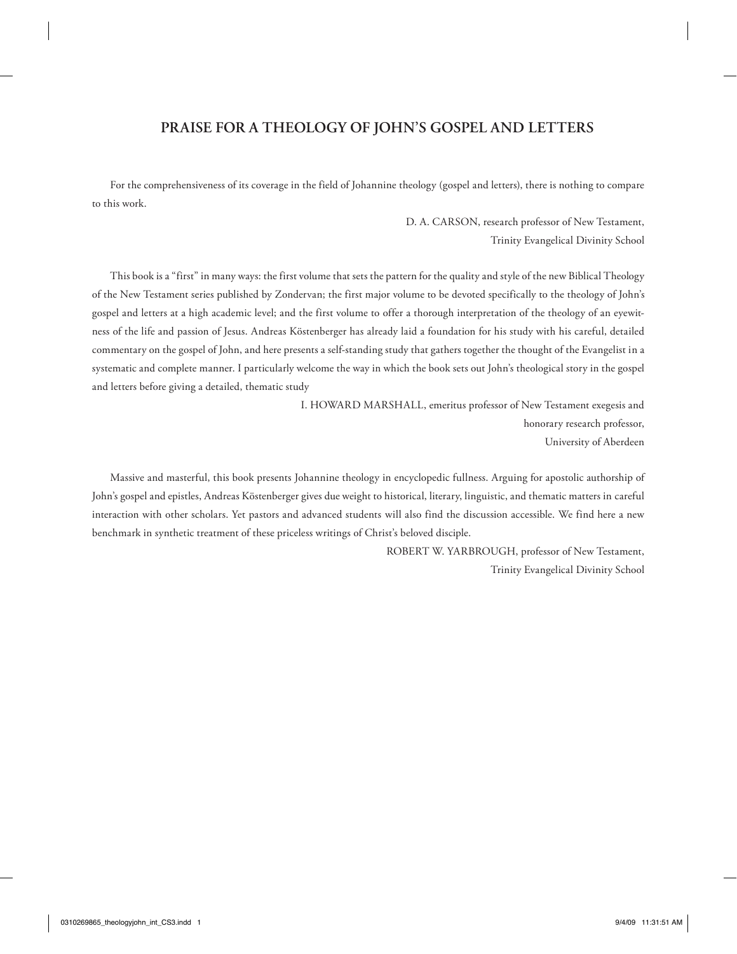## **[PRAISE FOR A THEOLOGY OF JOHN'S GOSPEL AND LETTERS](http://bit.ly/1e7LAk)**

For the comprehensiveness of its coverage in the field of Johannine theology (gospel and letters), there is nothing to compare to this work.

> D. A. CARSON, research professor of New Testament, Trinity Evangelical Divinity School

This book is a "first" in many ways: the first volume that sets the pattern for the quality and style of the new Biblical Theology of the New Testament series published by Zondervan; the first major volume to be devoted specifically to the theology of John's gospel and letters at a high academic level; and the first volume to offer a thorough interpretation of the theology of an eyewitness of the life and passion of Jesus. Andreas Köstenberger has already laid a foundation for his study with his careful, detailed commentary on the gospel of John, and here presents a self-standing study that gathers together the thought of the Evangelist in a systematic and complete manner. I particularly welcome the way in which the book sets out John's theological story in the gospel and letters before giving a detailed, thematic study

> I. HOWARD MARSHALL, emeritus professor of New Testament exegesis and honorary research professor, University of Aberdeen

Massive and masterful, this book presents Johannine theology in encyclopedic fullness. Arguing for apostolic authorship of John's gospel and epistles, Andreas Köstenberger gives due weight to historical, literary, linguistic, and thematic matters in careful interaction with other scholars. Yet pastors and advanced students will also find the discussion accessible. We find here a new benchmark in synthetic treatment of these priceless writings of Christ's beloved disciple.

> ROBERT W. YARBROUGH, professor of New Testament, Trinity Evangelical Divinity School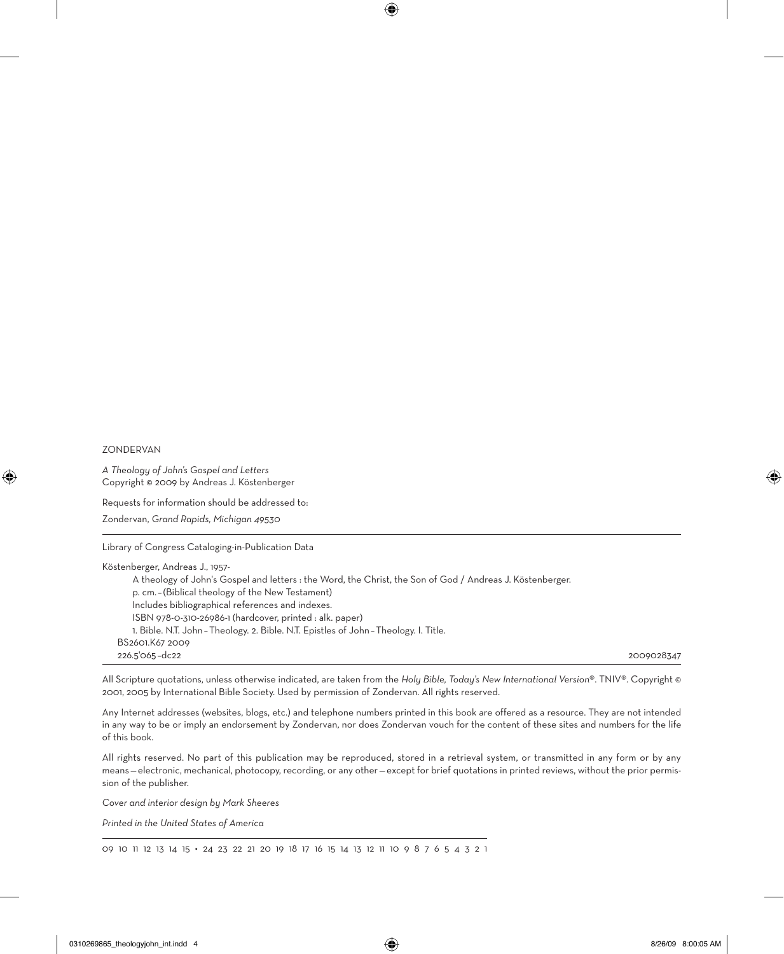#### ZONDERVAN

*A Theology of John's Gospel and Letters* Copyright © 2009 by Andreas J. Köstenberger

Requests for information should be addressed to:

Zondervan, *Grand Rapids, Michigan 49530*

Library of Congress Cataloging-in-Publication Data

Köstenberger, Andreas J., 1957- A theology of John's Gospel and letters : the Word, the Christ, the Son of God / Andreas J. Köstenberger. p. cm. – (Biblical theology of the New Testament) Includes bibliographical references and indexes. ISBN 978-0-310-26986-1 (hardcover, printed : alk. paper) 1. Bible. N.T. John – Theology. 2. Bible. N.T. Epistles of John – Theology. I. Title. BS2601.K67 2009 226.5'065 –dc22 2009028347

All Scripture quotations, unless otherwise indicated, are taken from the *Holy Bible, Today's New International Version*®. TNIV®. Copyright © 2001, 2005 by International Bible Society. Used by permission of Zondervan. All rights reserved.

Any Internet addresses (websites, blogs, etc.) and telephone numbers printed in this book are offered as a resource. They are not intended [in any way to be or imply an endorsement by Zondervan, nor does Zondervan vouch for the content of these sites and numbers for the life](http://bit.ly/1e7LAk)  of this book.

All rights reserved. No part of this publication may be reproduced, stored in a retrieval system, or transmitted in any form or by any means —electronic, mechanical, photocopy, recording, or any other—except for brief quotations in printed reviews, without the prior permission of the publisher.

*Cover and interior design by Mark Sheeres*

*Printed in the United States of America*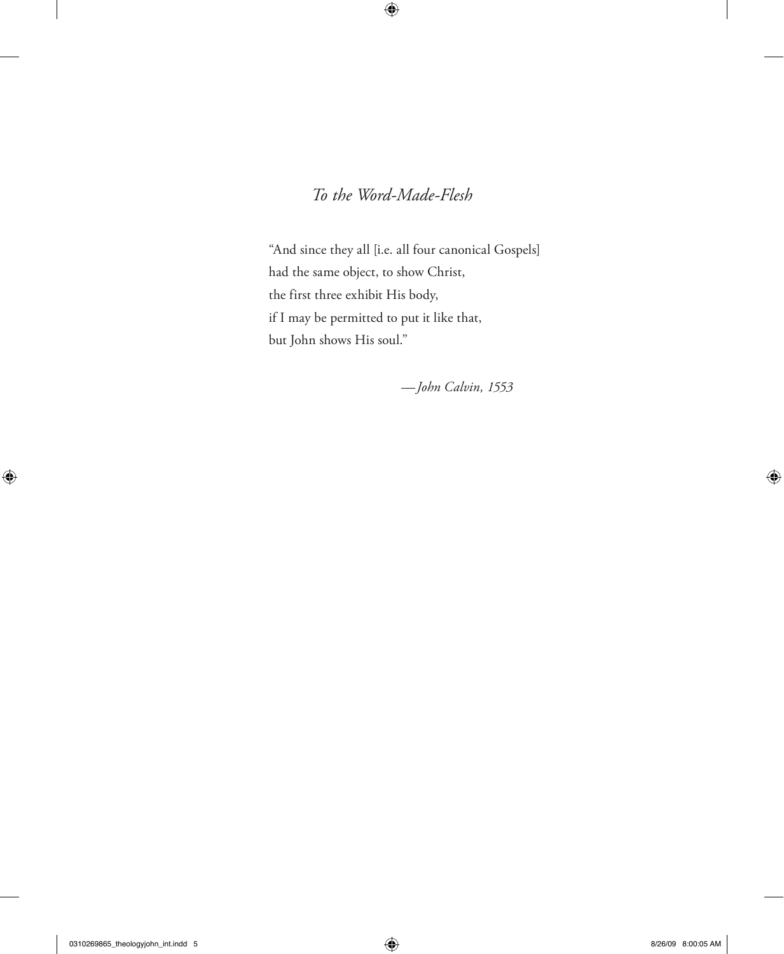# To the Word-Made-Flesh

["And since they all \[i.e. all four canonical Gospels\]](http://bit.ly/1e7LAk)  had the same object, to show Christ, the first three exhibit His body, if I may be permitted to put it like that, but John shows His soul."

 $-$ *John Calvin*, 1553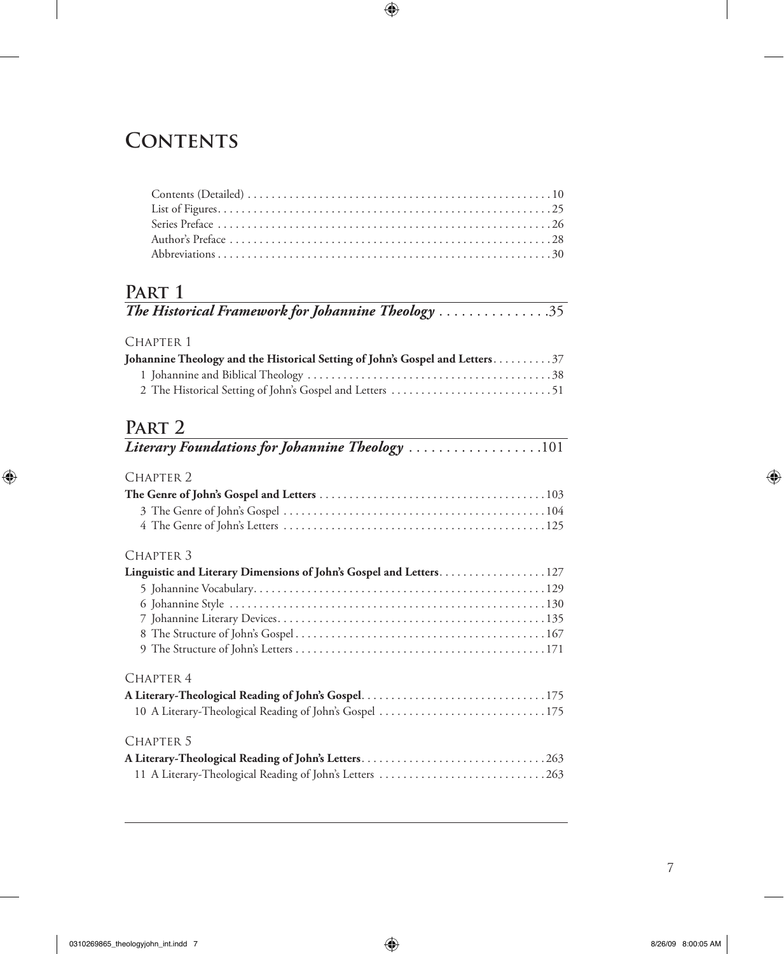# **CONTENTS**

# **PART 1**

| The Historical Framework for Johannine Theology 35 |
|----------------------------------------------------|
|----------------------------------------------------|

## CHAPTER 1

| Johannine Theology and the Historical Setting of John's Gospel and Letters. 37 |  |
|--------------------------------------------------------------------------------|--|
|                                                                                |  |
|                                                                                |  |

# **PART 2**

# CHAPTER 2

| Linguistic and Literary Dimensions of John's Gospel and Letters 127 |
|---------------------------------------------------------------------|
|                                                                     |
|                                                                     |
|                                                                     |
|                                                                     |
|                                                                     |
| CHAPTER 4                                                           |
|                                                                     |
|                                                                     |
| CHAPTER <sub>5</sub>                                                |
|                                                                     |
| 11 A Literary-Theological Reading of John's Letters 263             |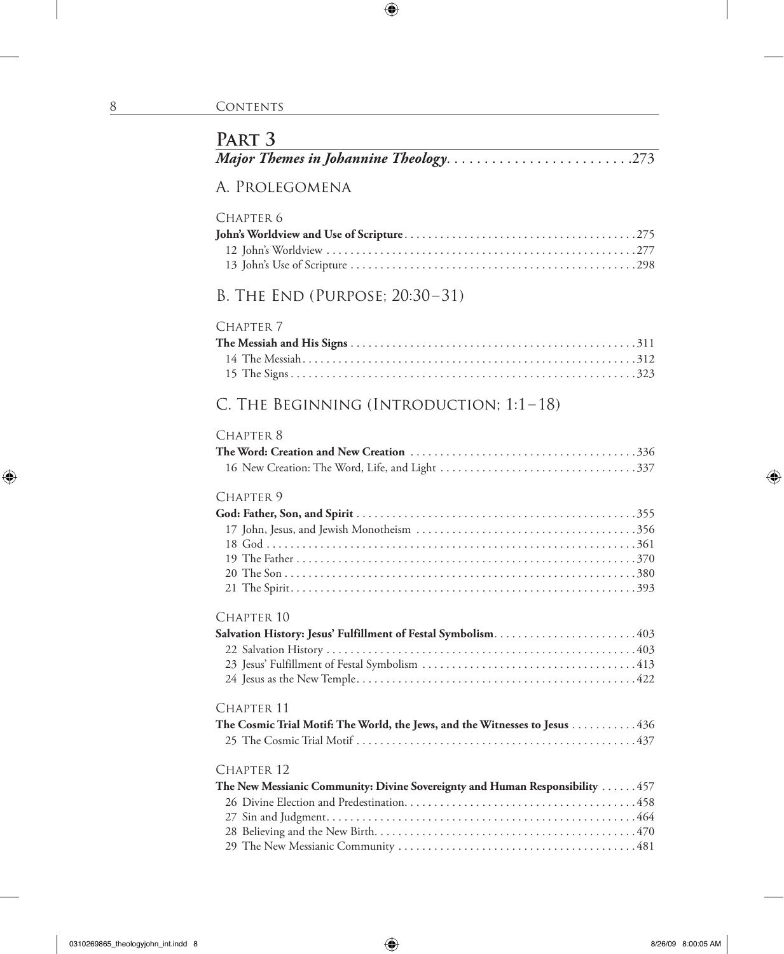# **PART 3**

|--|--|--|--|--|--|--|--|--|--|--|--|--|--|--|--|--|--|--|--|--|--|

# A. PROLEGOMENA

#### CHAPTER 6

#### B. THE END (PURPOSE; 20:30-31)

## CHAPTER 7

#### C. The Beginning (Introduction; 1:1–18)

#### CHAPTER 8

#### CHAPTER 9

#### CHAPTER 10

#### CHAPTER 11

| The Cosmic Trial Motif: The World, the Jews, and the Witnesses to Jesus 436 |  |
|-----------------------------------------------------------------------------|--|
|                                                                             |  |

| The New Messianic Community: Divine Sovereignty and Human Responsibility 457 |  |
|------------------------------------------------------------------------------|--|
|                                                                              |  |
|                                                                              |  |
|                                                                              |  |
|                                                                              |  |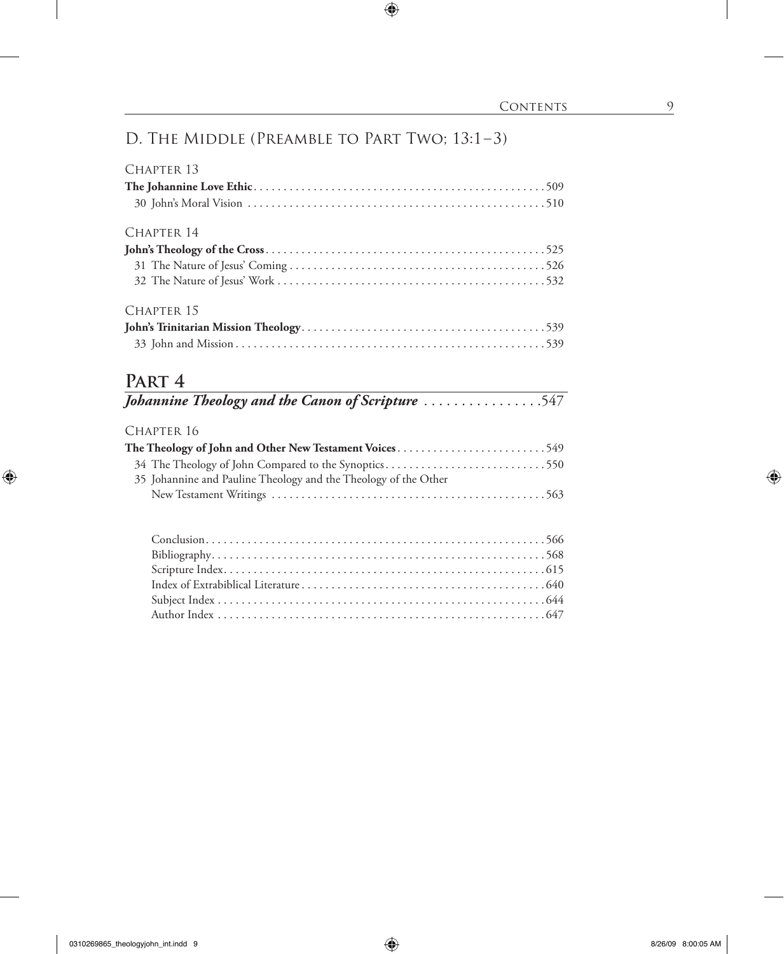# D. THE MIDDLE (PREAMBLE TO PART TWO; 13:1-3)

| CHAPTER 13 |  |
|------------|--|
|------------|--|

| CHAPTER 14 |  |
|------------|--|
|            |  |
|            |  |
|            |  |
| CHAPTER 15 |  |
|            |  |
|            |  |

# **PART 4**

|  |  |  |  |  | Johannine Theology and the Canon of Scripture 547 |  |
|--|--|--|--|--|---------------------------------------------------|--|
|--|--|--|--|--|---------------------------------------------------|--|

| The Theology of John and Other New Testament Voices549          |  |
|-----------------------------------------------------------------|--|
| 34 The Theology of John Compared to the Synoptics550            |  |
| 35 Johannine and Pauline Theology and the Theology of the Other |  |
|                                                                 |  |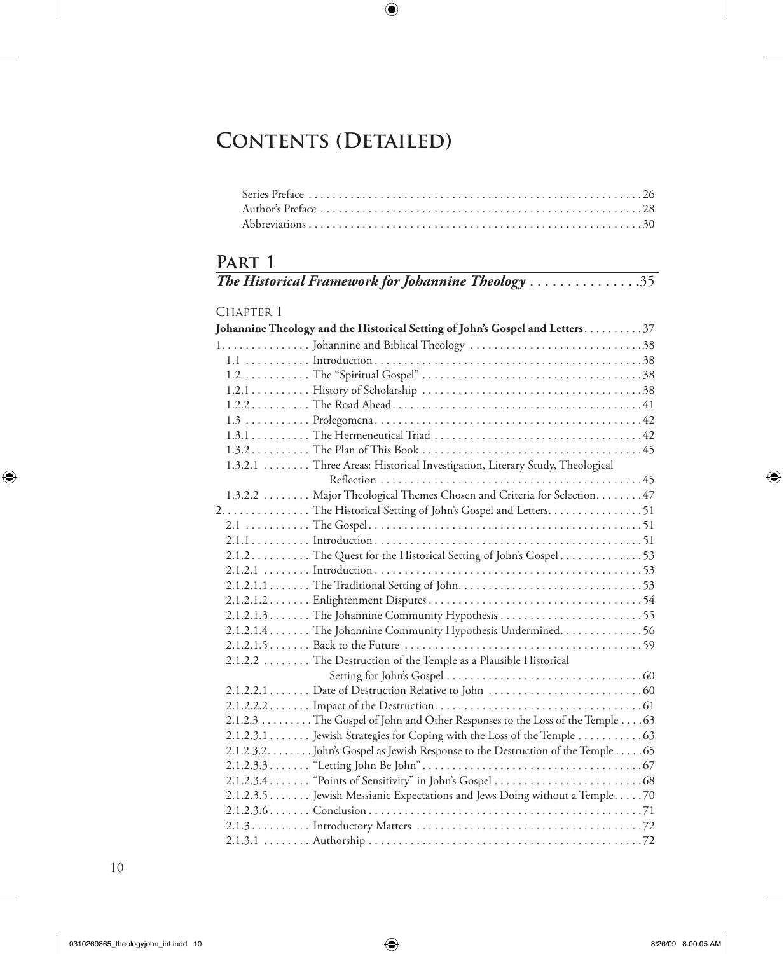# **CONTENTS (DETAILED)**

# **PART 1**

| . |                                                    |
|---|----------------------------------------------------|
|   | The Historical Framework for Johannine Theology 35 |

| Johannine Theology and the Historical Setting of John's Gospel and Letters37    |
|---------------------------------------------------------------------------------|
|                                                                                 |
|                                                                                 |
|                                                                                 |
|                                                                                 |
|                                                                                 |
|                                                                                 |
|                                                                                 |
|                                                                                 |
| 1.3.2.1 Three Areas: Historical Investigation, Literary Study, Theological      |
|                                                                                 |
| 1.3.2.2 Major Theological Themes Chosen and Criteria for Selection. 47          |
| 2. The Historical Setting of John's Gospel and Letters. 51                      |
|                                                                                 |
|                                                                                 |
| 2.1.2. The Quest for the Historical Setting of John's Gospel 53                 |
|                                                                                 |
|                                                                                 |
|                                                                                 |
|                                                                                 |
| 2.1.2.1.4 The Johannine Community Hypothesis Undermined. 56                     |
|                                                                                 |
| 2.1.2.2 The Destruction of the Temple as a Plausible Historical                 |
|                                                                                 |
|                                                                                 |
|                                                                                 |
| 2.1.2.3 The Gospel of John and Other Responses to the Loss of the Temple 63     |
| 2.1.2.3.1 Jewish Strategies for Coping with the Loss of the Temple 63           |
| 2.1.2.3.2. John's Gospel as Jewish Response to the Destruction of the Temple 65 |
|                                                                                 |
|                                                                                 |
| 2.1.2.3.5 Jewish Messianic Expectations and Jews Doing without a Temple. 70     |
|                                                                                 |
|                                                                                 |
|                                                                                 |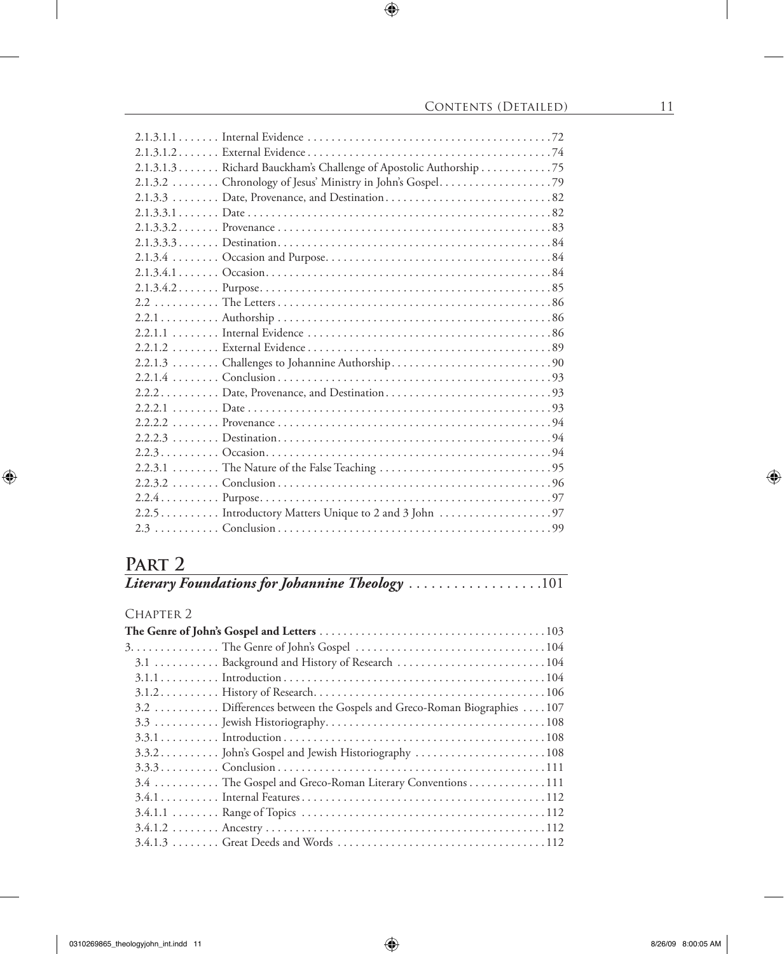# **PART 2**

|  |  | Literary Foundations for Johannine Theology $\ldots \ldots \ldots \ldots \ldots \ldots 101$ |
|--|--|---------------------------------------------------------------------------------------------|
|--|--|---------------------------------------------------------------------------------------------|

| 3.1  Background and History of Research 104                          |
|----------------------------------------------------------------------|
|                                                                      |
|                                                                      |
| 3.2  Differences between the Gospels and Greco-Roman Biographies 107 |
|                                                                      |
|                                                                      |
| 3.3.2.   John's Gospel and Jewish Historiography 108                 |
|                                                                      |
| 3.4  The Gospel and Greco-Roman Literary Conventions 111             |
|                                                                      |
|                                                                      |
|                                                                      |
|                                                                      |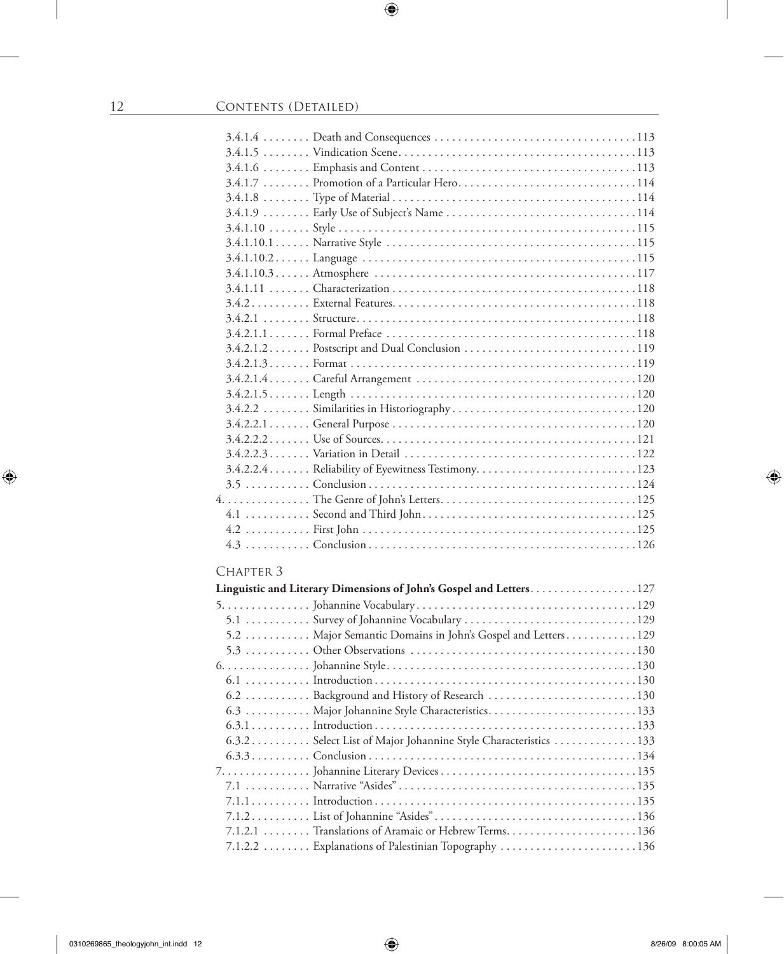| <b>CHAPTER 3</b>                                                     |  |
|----------------------------------------------------------------------|--|
| Linguistic and Literary Dimensions of John's Gospel and Letters. 127 |  |
|                                                                      |  |
| 5.1  Survey of Johannine Vocabulary 129                              |  |
| 5.2  Major Semantic Domains in John's Gospel and Letters129          |  |

| 5.2  Major Semantic Domains in John's Gospel and Letters129    |  |
|----------------------------------------------------------------|--|
|                                                                |  |
|                                                                |  |
|                                                                |  |
| 6.2  Background and History of Research 130                    |  |
| 6.3  Major Johannine Style Characteristics133                  |  |
|                                                                |  |
| 6.3.2 Select List of Major Johannine Style Characteristics 133 |  |
|                                                                |  |
|                                                                |  |
|                                                                |  |
|                                                                |  |
|                                                                |  |
|                                                                |  |
|                                                                |  |
|                                                                |  |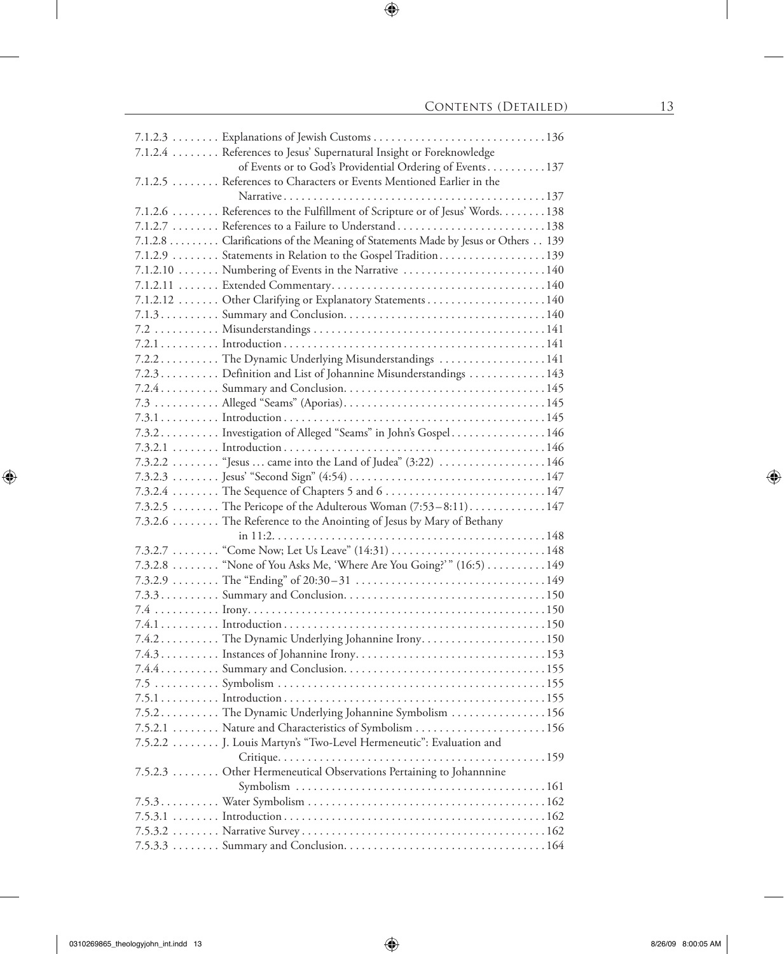| 7.1.2.4 References to Jesus' Supernatural Insight or Foreknowledge              |
|---------------------------------------------------------------------------------|
| of Events or to God's Providential Ordering of Events137                        |
| 7.1.2.5 References to Characters or Events Mentioned Earlier in the             |
|                                                                                 |
| 7.1.2.6 References to the Fulfillment of Scripture or of Jesus' Words. 138      |
|                                                                                 |
| 7.1.2.8 Clarifications of the Meaning of Statements Made by Jesus or Others 139 |
| 7.1.2.9 Statements in Relation to the Gospel Tradition 139                      |
| 7.1.2.10  Numbering of Events in the Narrative 140                              |
|                                                                                 |
| 7.1.2.12  Other Clarifying or Explanatory Statements  140                       |
|                                                                                 |
|                                                                                 |
|                                                                                 |
| 7.2.2.  The Dynamic Underlying Misunderstandings 141                            |
| 7.2.3.  Definition and List of Johannine Misunderstandings  143                 |
|                                                                                 |
|                                                                                 |
|                                                                                 |
| 7.3.2. Investigation of Alleged "Seams" in John's Gospel. 146                   |
|                                                                                 |
| 7.3.2.2 came into the Land of Judea" (3:22) 146                                 |
|                                                                                 |
|                                                                                 |
| 7.3.2.5 The Pericope of the Adulterous Woman (7:53 – 8:11) 147                  |
| 7.3.2.6 The Reference to the Anointing of Jesus by Mary of Bethany              |
|                                                                                 |
|                                                                                 |
| 7.3.2.8 "None of You Asks Me, 'Where Are You Going?'" (16:5) 149                |
|                                                                                 |
|                                                                                 |
|                                                                                 |
|                                                                                 |
| 7.4.2.  The Dynamic Underlying Johannine Irony.  150                            |
|                                                                                 |
|                                                                                 |
|                                                                                 |
|                                                                                 |
| 7.5.2 The Dynamic Underlying Johannine Symbolism 156                            |
|                                                                                 |
| 7.5.2.2 J. Louis Martyn's "Two-Level Hermeneutic": Evaluation and               |
|                                                                                 |
| 7.5.2.3 Other Hermeneutical Observations Pertaining to Johannnine               |
|                                                                                 |
|                                                                                 |
|                                                                                 |
|                                                                                 |
|                                                                                 |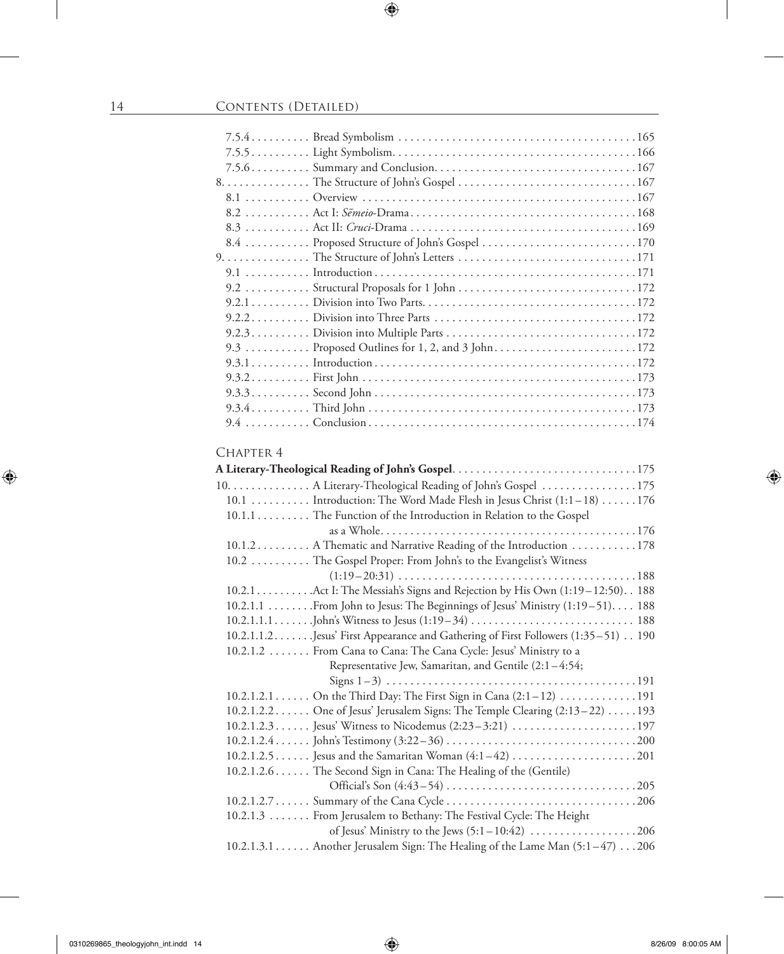| 9.2  Structural Proposals for 1 John 172 |  |
|------------------------------------------|--|
|                                          |  |
|                                          |  |
|                                          |  |
|                                          |  |
|                                          |  |
|                                          |  |
|                                          |  |
|                                          |  |
|                                          |  |
|                                          |  |

| 10. A Literary-Theological Reading of John's Gospel 175                                       |
|-----------------------------------------------------------------------------------------------|
| 10.1 Introduction: The Word Made Flesh in Jesus Christ (1:1-18) 176                           |
| 10.1.1 The Function of the Introduction in Relation to the Gospel                             |
|                                                                                               |
| 10.1.2 A Thematic and Narrative Reading of the Introduction 178                               |
| 10.2 The Gospel Proper: From John's to the Evangelist's Witness                               |
|                                                                                               |
| 10.2.1 Act I: The Messiah's Signs and Rejection by His Own (1:19 - 12:50). . 188              |
| $10.2.1.1$ From John to Jesus: The Beginnings of Jesus' Ministry $(1.19-51)$ 188              |
|                                                                                               |
| 10.2.1.1.2 Jesus' First Appearance and Gathering of First Followers (1:35–51) 190             |
| 10.2.1.2 From Cana to Cana: The Cana Cycle: Jesus' Ministry to a                              |
| Representative Jew, Samaritan, and Gentile (2:1-4:54;                                         |
|                                                                                               |
| $10.2.1.2.1$ On the Third Day: The First Sign in Cana $(2:1-12)$ 191                          |
| 10.2.1.2.2.  One of Jesus' Jerusalem Signs: The Temple Clearing (2:13-22) 193                 |
|                                                                                               |
|                                                                                               |
|                                                                                               |
| 10.2.1.2.6 The Second Sign in Cana: The Healing of the (Gentile)                              |
|                                                                                               |
|                                                                                               |
| 10.2.1.3 From Jerusalem to Bethany: The Festival Cycle: The Height                            |
|                                                                                               |
| $10.2.1.3.1 \ldots$ Another Jerusalem Sign: The Healing of the Lame Man $(5.1-47) \ldots 206$ |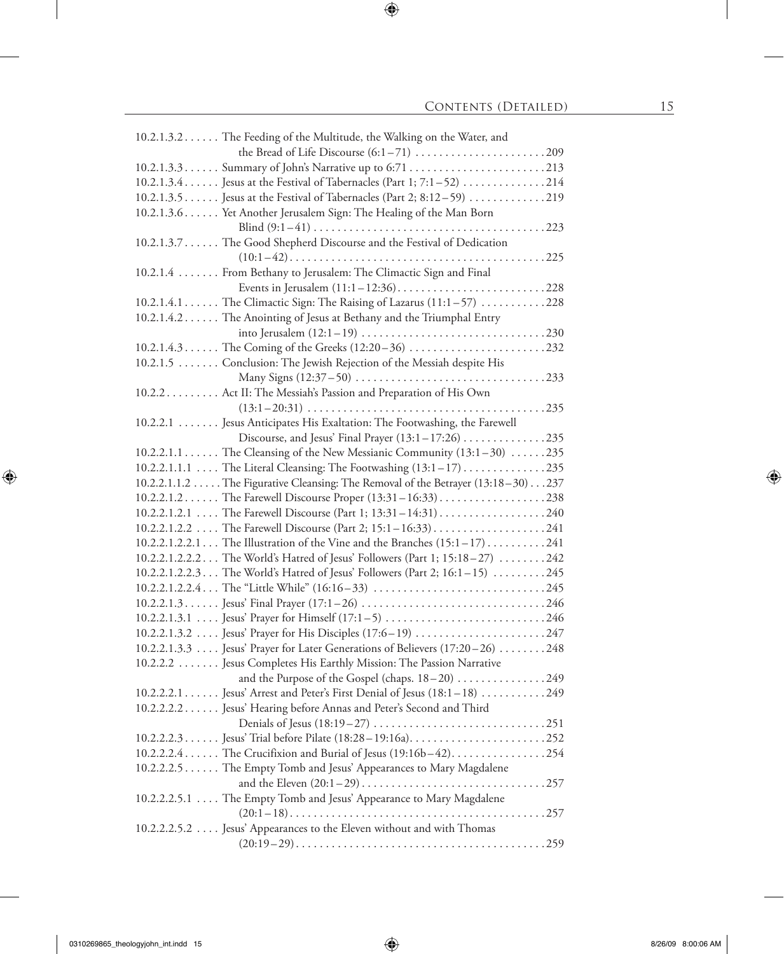| 10.2.1.3.2 The Feeding of the Multitude, the Walking on the Water, and            |
|-----------------------------------------------------------------------------------|
|                                                                                   |
|                                                                                   |
| 10.2.1.3.4 Jesus at the Festival of Tabernacles (Part 1; 7:1-52) 214              |
| 10.2.1.3.5 Jesus at the Festival of Tabernacles (Part 2; 8:12-59) 219             |
| 10.2.1.3.6 Yet Another Jerusalem Sign: The Healing of the Man Born                |
|                                                                                   |
| 10.2.1.3.7 The Good Shepherd Discourse and the Festival of Dedication             |
|                                                                                   |
|                                                                                   |
| 10.2.1.4 From Bethany to Jerusalem: The Climactic Sign and Final                  |
|                                                                                   |
| 10.2.1.4.1 The Climactic Sign: The Raising of Lazarus (11:1-57) 228               |
| 10.2.1.4.2 The Anointing of Jesus at Bethany and the Triumphal Entry              |
|                                                                                   |
|                                                                                   |
| 10.2.1.5 Conclusion: The Jewish Rejection of the Messiah despite His              |
|                                                                                   |
| 10.2.2.  Act II: The Messiah's Passion and Preparation of His Own                 |
|                                                                                   |
| 10.2.2.1 Jesus Anticipates His Exaltation: The Footwashing, the Farewell          |
| Discourse, and Jesus' Final Prayer $(13:1-17:26)$ 235                             |
| 10.2.2.1.1 The Cleansing of the New Messianic Community $(13.1-30)$ 235           |
| 10.2.2.1.1.1  The Literal Cleansing: The Footwashing $(13:1-17)$ 235              |
| 10.2.2.1.1.2 The Figurative Cleansing: The Removal of the Betrayer (13:18-30) 237 |
| 10.2.2.1.2 The Farewell Discourse Proper (13:31 – 16:33)238                       |
| 10.2.2.1.2.1  The Farewell Discourse (Part 1; 13:31 – 14:31) 240                  |
|                                                                                   |
|                                                                                   |
| 10.2.2.1.2.2.2 The World's Hatred of Jesus' Followers (Part 1; 15:18–27) 242      |
| 10.2.2.1.2.2.3 The World's Hatred of Jesus' Followers (Part 2; 16:1 – 15) 245     |
|                                                                                   |
| 10.2.2.1.3 Jesus' Final Prayer (17:1-26) 246                                      |
| 10.2.2.1.3.1  Jesus' Prayer for Himself (17:1-5) 246                              |
| 10.2.2.1.3.2  Jesus' Prayer for His Disciples (17:6-19) 247                       |
|                                                                                   |
| 10.2.2.1.3.3 Jesus' Prayer for Later Generations of Believers (17:20-26) 248      |
| 10.2.2.2 Jesus Completes His Earthly Mission: The Passion Narrative               |
| and the Purpose of the Gospel (chaps. 18–20) 249                                  |
| 10.2.2.2.1 Jesus' Arrest and Peter's First Denial of Jesus (18:1-18) 249          |
| 10.2.2.2.2 Jesus' Hearing before Annas and Peter's Second and Third               |
|                                                                                   |
| 10.2.2.2.3 Jesus' Trial before Pilate (18:28 - 19:16a)252                         |
| $10.2.2.2.4.$ The Crucifixion and Burial of Jesus $(19.16b - 42).$ 254            |
| 10.2.2.2.5 The Empty Tomb and Jesus' Appearances to Mary Magdalene                |
|                                                                                   |
| 10.2.2.2.5.1 The Empty Tomb and Jesus' Appearance to Mary Magdalene               |
|                                                                                   |
| 10.2.2.2.5.2 Jesus' Appearances to the Eleven without and with Thomas             |
|                                                                                   |
|                                                                                   |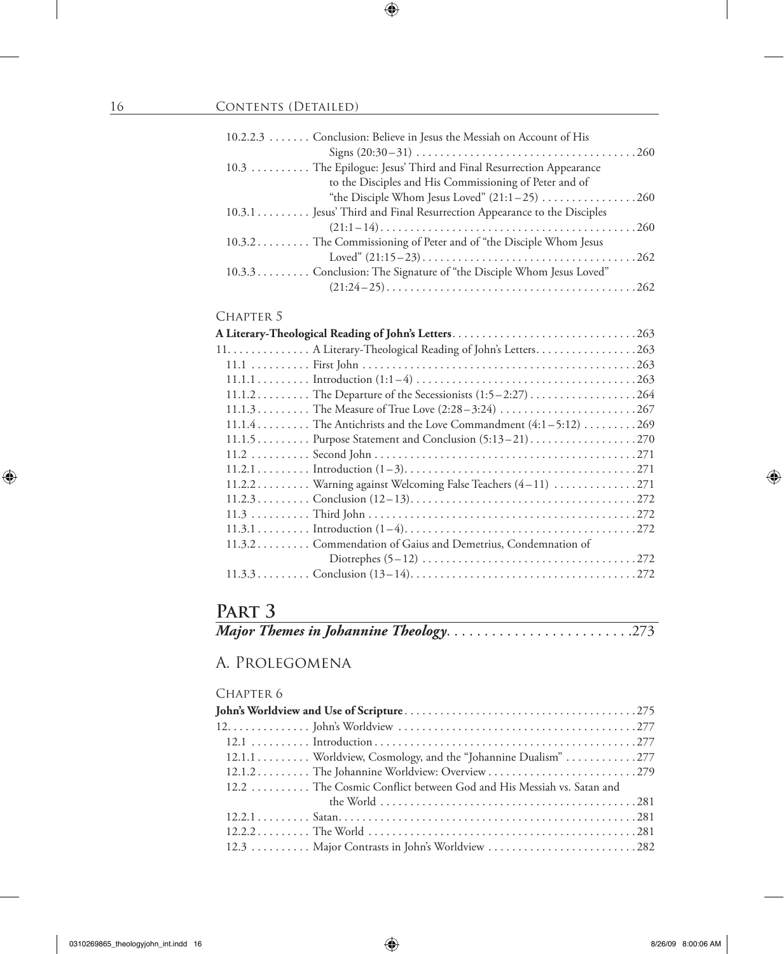| 10.2.2.3  Conclusion: Believe in Jesus the Messiah on Account of His   |
|------------------------------------------------------------------------|
|                                                                        |
| 10.3 The Epilogue: Jesus' Third and Final Resurrection Appearance      |
| to the Disciples and His Commissioning of Peter and of                 |
|                                                                        |
| 10.3.1 Jesus' Third and Final Resurrection Appearance to the Disciples |
|                                                                        |
| 10.3.2 The Commissioning of Peter and of "the Disciple Whom Jesus      |
|                                                                        |
| 10.3.3. Conclusion: The Signature of "the Disciple Whom Jesus Loved"   |
|                                                                        |
|                                                                        |

| 11. A Literary-Theological Reading of John's Letters. 263                                                              |  |
|------------------------------------------------------------------------------------------------------------------------|--|
|                                                                                                                        |  |
|                                                                                                                        |  |
| $11.1.2$ The Departure of the Secessionists $(1:5-2:27)$ 264                                                           |  |
|                                                                                                                        |  |
| $11.1.4$ The Antichrists and the Love Commandment $(4:1-5:12)$ 269                                                     |  |
| $11.1.5 \ldots \ldots$ Purpose Statement and Conclusion $(5.13-21) \ldots \ldots \ldots \ldots \ldots \ldots 270$      |  |
|                                                                                                                        |  |
|                                                                                                                        |  |
| $11.2.2 \ldots \ldots \ldots$ Warning against Welcoming False Teachers $(4-11) \ldots \ldots \ldots \ldots \ldots 271$ |  |
|                                                                                                                        |  |
|                                                                                                                        |  |
|                                                                                                                        |  |
| 11.3.2 Commendation of Gaius and Demetrius, Condemnation of                                                            |  |
|                                                                                                                        |  |
| $11.3.3$ Conclusion $(13-14)$ $\dots$ $\dots$ $\dots$ $272$                                                            |  |

# **PART 3**

# A. PROLEGOMENA

| 12.1.1 Worldview, Cosmology, and the "Johannine Dualism" 277        |  |
|---------------------------------------------------------------------|--|
|                                                                     |  |
| 12.2  The Cosmic Conflict between God and His Messiah vs. Satan and |  |
|                                                                     |  |
|                                                                     |  |
|                                                                     |  |
|                                                                     |  |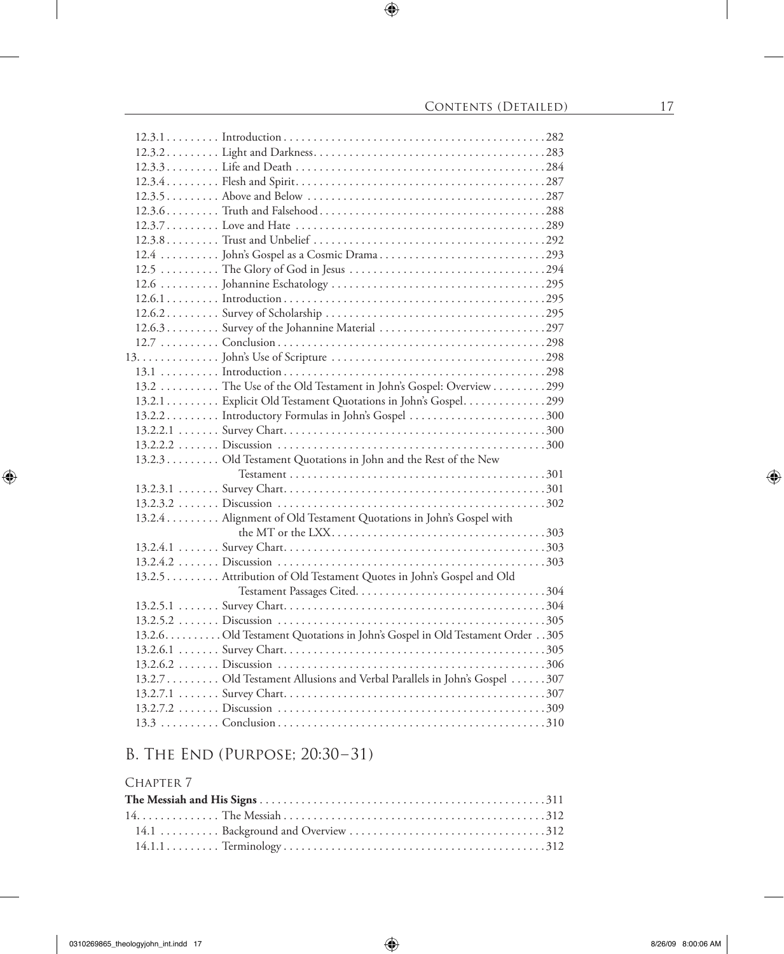| 12.4  John's Gospel as a Cosmic Drama293                                     |  |
|------------------------------------------------------------------------------|--|
|                                                                              |  |
|                                                                              |  |
|                                                                              |  |
|                                                                              |  |
|                                                                              |  |
|                                                                              |  |
|                                                                              |  |
|                                                                              |  |
| 13.2  The Use of the Old Testament in John's Gospel: Overview 299            |  |
| 13.2.1 Explicit Old Testament Quotations in John's Gospel. 299               |  |
|                                                                              |  |
|                                                                              |  |
|                                                                              |  |
| 13.2.3 Old Testament Quotations in John and the Rest of the New              |  |
|                                                                              |  |
|                                                                              |  |
|                                                                              |  |
| 13.2.4 Alignment of Old Testament Quotations in John's Gospel with           |  |
|                                                                              |  |
|                                                                              |  |
|                                                                              |  |
| 13.2.5 Attribution of Old Testament Quotes in John's Gospel and Old          |  |
|                                                                              |  |
|                                                                              |  |
|                                                                              |  |
| 13.2.6. Old Testament Quotations in John's Gospel in Old Testament Order 305 |  |
|                                                                              |  |
|                                                                              |  |
| 13.2.7 Old Testament Allusions and Verbal Parallels in John's Gospel 307     |  |
|                                                                              |  |
|                                                                              |  |
|                                                                              |  |

## B. THE END (PURPOSE; 20:30-31)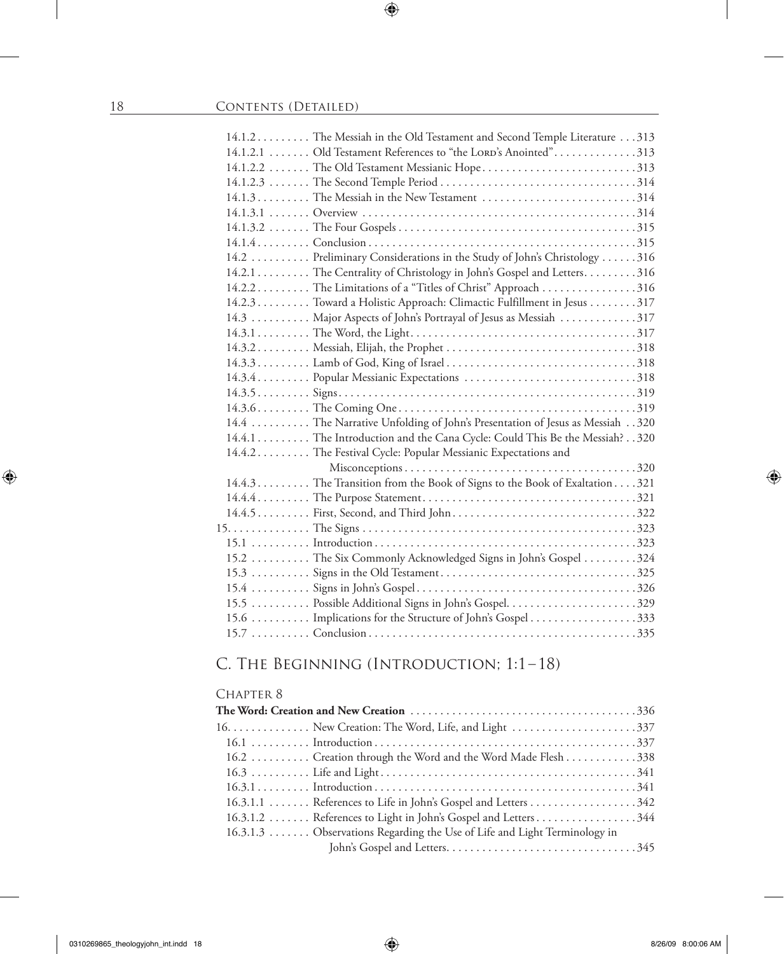| 14.1.2.  The Messiah in the Old Testament and Second Temple Literature 313  |  |
|-----------------------------------------------------------------------------|--|
| 14.1.2.1 Old Testament References to "the LORD's Anointed". 313             |  |
|                                                                             |  |
|                                                                             |  |
| 14.1.3.  The Messiah in the New Testament 314                               |  |
|                                                                             |  |
|                                                                             |  |
|                                                                             |  |
| 14.2  Preliminary Considerations in the Study of John's Christology 316     |  |
| 14.2.1 The Centrality of Christology in John's Gospel and Letters. 316      |  |
| 14.2.2. The Limitations of a "Titles of Christ" Approach 316                |  |
| 14.2.3 Toward a Holistic Approach: Climactic Fulfillment in Jesus 317       |  |
| 14.3  Major Aspects of John's Portrayal of Jesus as Messiah 317             |  |
|                                                                             |  |
|                                                                             |  |
|                                                                             |  |
|                                                                             |  |
|                                                                             |  |
|                                                                             |  |
| 14.4 The Narrative Unfolding of John's Presentation of Jesus as Messiah 320 |  |
| 14.4.1 The Introduction and the Cana Cycle: Could This Be the Messiah? 320  |  |
| 14.4.2.  The Festival Cycle: Popular Messianic Expectations and             |  |
|                                                                             |  |
| 14.4.3 The Transition from the Book of Signs to the Book of Exaltation 321  |  |
|                                                                             |  |
|                                                                             |  |
|                                                                             |  |
|                                                                             |  |
| 15.2  The Six Commonly Acknowledged Signs in John's Gospel 324              |  |
|                                                                             |  |
|                                                                             |  |
| 15.5  Possible Additional Signs in John's Gospel329                         |  |
| 15.6  Implications for the Structure of John's Gospel 333                   |  |
|                                                                             |  |
|                                                                             |  |

#### C. The Beginning (Introduction; 1:1–18)

| 16.2  Creation through the Word and the Word Made Flesh 338              |  |
|--------------------------------------------------------------------------|--|
|                                                                          |  |
|                                                                          |  |
| 16.3.1.1  References to Life in John's Gospel and Letters 342            |  |
| 16.3.1.2 References to Light in John's Gospel and Letters 344            |  |
| 16.3.1.3 Observations Regarding the Use of Life and Light Terminology in |  |
|                                                                          |  |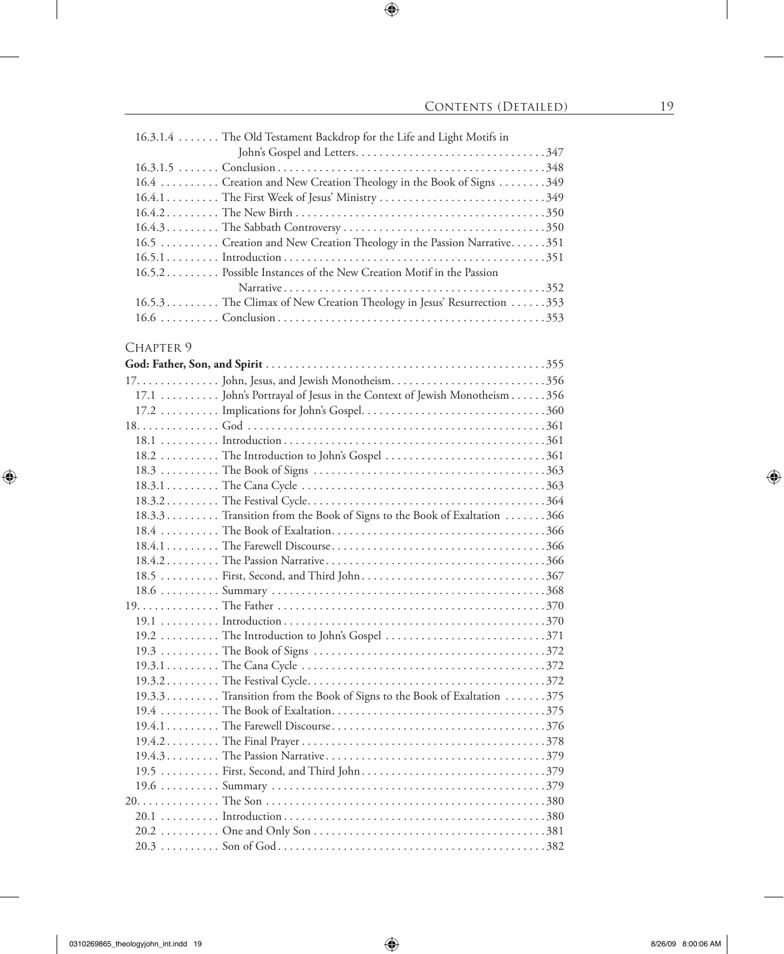| 17.1  John's Portrayal of Jesus in the Context of Jewish Monotheism356   |
|--------------------------------------------------------------------------|
|                                                                          |
|                                                                          |
|                                                                          |
| 18.2  The Introduction to John's Gospel 361                              |
|                                                                          |
|                                                                          |
|                                                                          |
| 18.3.3.  Transition from the Book of Signs to the Book of Exaltation 366 |
|                                                                          |
|                                                                          |
|                                                                          |
|                                                                          |
|                                                                          |
|                                                                          |
|                                                                          |
|                                                                          |
|                                                                          |
|                                                                          |
|                                                                          |
| 19.3.3. Transition from the Book of Signs to the Book of Exaltation 375  |
|                                                                          |
|                                                                          |
|                                                                          |
|                                                                          |
|                                                                          |
|                                                                          |
|                                                                          |
|                                                                          |
|                                                                          |
|                                                                          |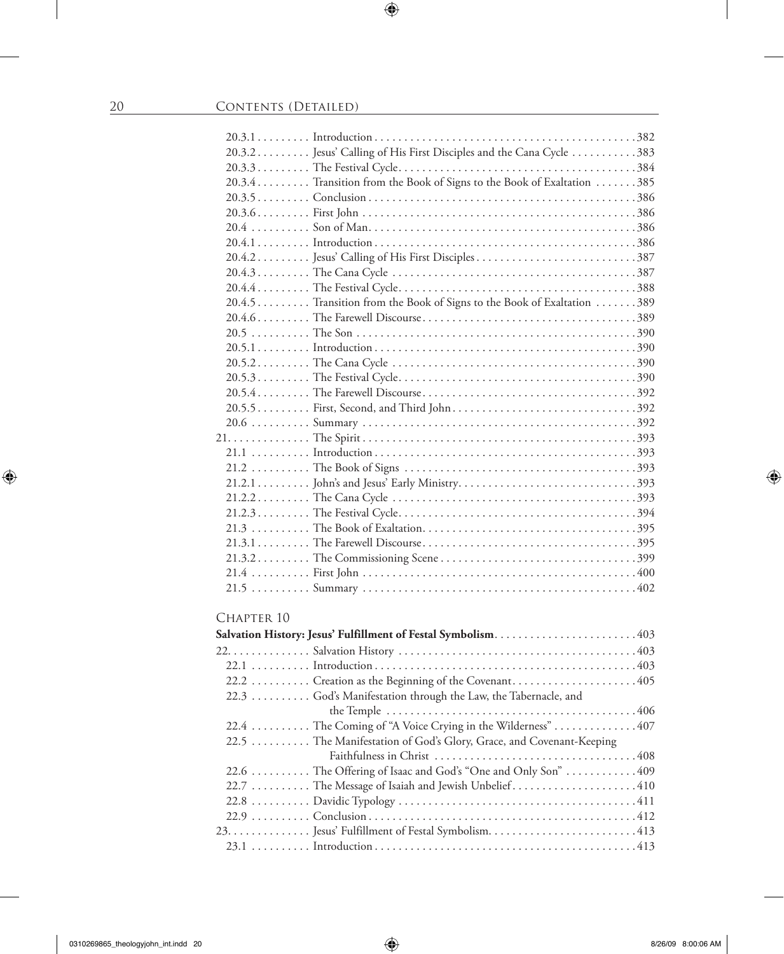| 20.3.2 Jesus' Calling of His First Disciples and the Cana Cycle 383    |  |
|------------------------------------------------------------------------|--|
|                                                                        |  |
| 20.3.4 Transition from the Book of Signs to the Book of Exaltation 385 |  |
|                                                                        |  |
|                                                                        |  |
|                                                                        |  |
|                                                                        |  |
| 20.4.2 Jesus' Calling of His First Disciples387                        |  |
|                                                                        |  |
|                                                                        |  |
| 20.4.5 Transition from the Book of Signs to the Book of Exaltation 389 |  |
|                                                                        |  |
|                                                                        |  |
|                                                                        |  |
|                                                                        |  |
|                                                                        |  |
|                                                                        |  |
|                                                                        |  |
|                                                                        |  |
|                                                                        |  |
|                                                                        |  |
|                                                                        |  |
|                                                                        |  |
|                                                                        |  |
|                                                                        |  |
|                                                                        |  |
|                                                                        |  |
|                                                                        |  |
|                                                                        |  |
|                                                                        |  |

| 22.2  Creation as the Beginning of the Covenant405                                     |
|----------------------------------------------------------------------------------------|
| 22.3 God's Manifestation through the Law, the Tabernacle, and                          |
| the Temple $\dots\dots\dots\dots\dots\dots\dots\dots\dots\dots\dots\dots\dots\dots406$ |
| 22.4 The Coming of "A Voice Crying in the Wilderness" 407                              |
| 22.5 The Manifestation of God's Glory, Grace, and Covenant-Keeping                     |
|                                                                                        |
| 22.6  The Offering of Isaac and God's "One and Only Son" 409                           |
| 22.7  The Message of Isaiah and Jewish Unbelief410                                     |
|                                                                                        |
|                                                                                        |
|                                                                                        |
|                                                                                        |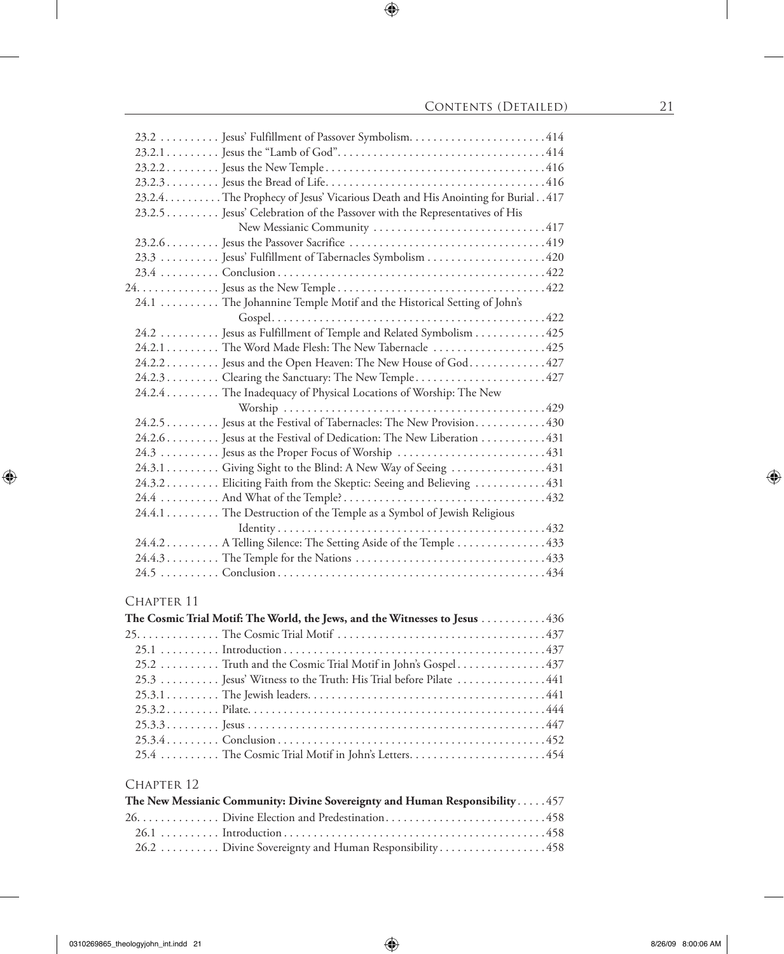| 23.2.4. The Prophecy of Jesus' Vicarious Death and His Anointing for Burial. . 417 |  |
|------------------------------------------------------------------------------------|--|
| 23.2.5 Jesus' Celebration of the Passover with the Representatives of His          |  |
| New Messianic Community 417                                                        |  |
|                                                                                    |  |
| 23.3  Jesus' Fulfillment of Tabernacles Symbolism 420                              |  |
|                                                                                    |  |
|                                                                                    |  |
| 24.1  The Johannine Temple Motif and the Historical Setting of John's              |  |
|                                                                                    |  |
| 24.2  Jesus as Fulfillment of Temple and Related Symbolism 425                     |  |
| 24.2.1 The Word Made Flesh: The New Tabernacle 425                                 |  |
| 24.2.2.  Jesus and the Open Heaven: The New House of God 427                       |  |
|                                                                                    |  |
| 24.2.4 The Inadequacy of Physical Locations of Worship: The New                    |  |
|                                                                                    |  |
| 24.2.5 Jesus at the Festival of Tabernacles: The New Provision 430                 |  |
| 24.2.6.  Jesus at the Festival of Dedication: The New Liberation 431               |  |
| 24.3  Jesus as the Proper Focus of Worship 431                                     |  |
| 24.3.1 Giving Sight to the Blind: A New Way of Seeing 431                          |  |
| 24.3.2.  Eliciting Faith from the Skeptic: Seeing and Believing  431               |  |
|                                                                                    |  |
| 24.4.1 The Destruction of the Temple as a Symbol of Jewish Religious               |  |
|                                                                                    |  |
| 24.4.2 A Telling Silence: The Setting Aside of the Temple 433                      |  |
|                                                                                    |  |
|                                                                                    |  |
|                                                                                    |  |
| <b>CHAPTER 11</b>                                                                  |  |
| The Cosmic Trial Motif: The World, the Jews, and the Witnesses to Jesus 436        |  |
|                                                                                    |  |
|                                                                                    |  |
| 25.2  Truth and the Cosmic Trial Motif in John's Gospel437                         |  |
| 25.3  Jesus' Witness to the Truth: His Trial before Pilate 441                     |  |
|                                                                                    |  |
|                                                                                    |  |
|                                                                                    |  |
|                                                                                    |  |
| 25.4  The Cosmic Trial Motif in John's Letters454                                  |  |
|                                                                                    |  |

| The New Messianic Community: Divine Sovereignty and Human Responsibility457 |  |
|-----------------------------------------------------------------------------|--|
|                                                                             |  |
|                                                                             |  |
| 26.2  Divine Sovereignty and Human Responsibility458                        |  |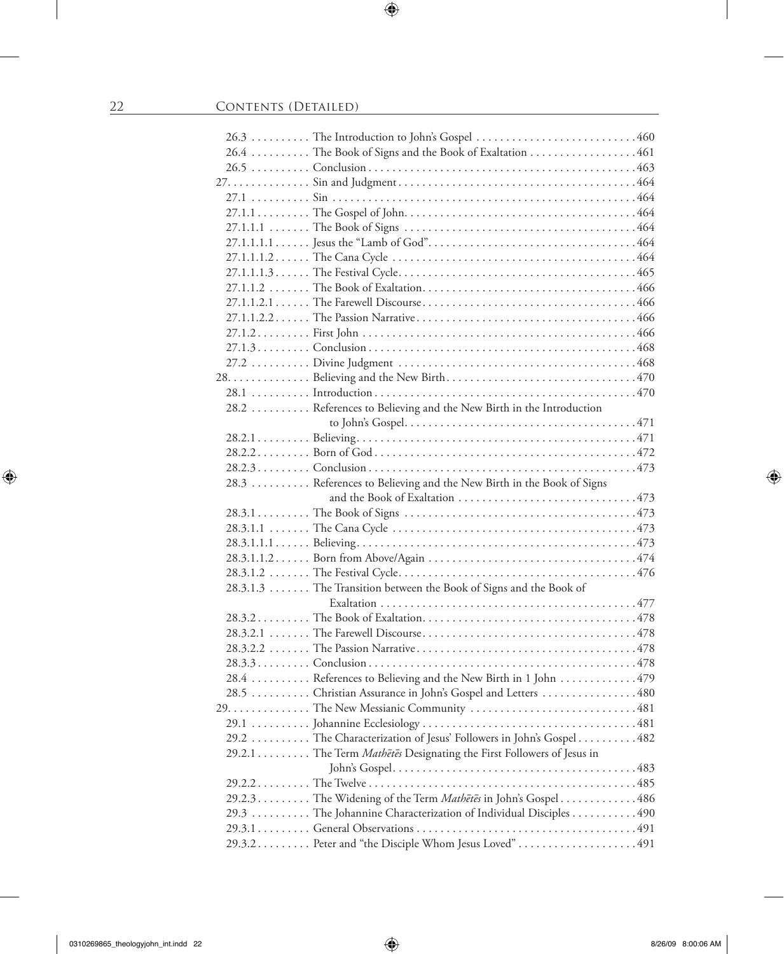| $26.3 \ldots \ldots \ldots$ The Introduction to John's Gospel $\ldots \ldots \ldots \ldots \ldots \ldots \ldots \ldots \ldots 460$ |  |
|------------------------------------------------------------------------------------------------------------------------------------|--|
| 26.4  The Book of Signs and the Book of Exaltation 461                                                                             |  |
|                                                                                                                                    |  |
|                                                                                                                                    |  |
|                                                                                                                                    |  |
|                                                                                                                                    |  |
|                                                                                                                                    |  |
|                                                                                                                                    |  |
|                                                                                                                                    |  |
|                                                                                                                                    |  |
|                                                                                                                                    |  |
|                                                                                                                                    |  |
|                                                                                                                                    |  |
|                                                                                                                                    |  |
|                                                                                                                                    |  |
|                                                                                                                                    |  |
|                                                                                                                                    |  |
|                                                                                                                                    |  |
| 28.2 References to Believing and the New Birth in the Introduction                                                                 |  |
|                                                                                                                                    |  |
|                                                                                                                                    |  |
|                                                                                                                                    |  |
|                                                                                                                                    |  |
| 28.3 References to Believing and the New Birth in the Book of Signs                                                                |  |
|                                                                                                                                    |  |
|                                                                                                                                    |  |
|                                                                                                                                    |  |
|                                                                                                                                    |  |
|                                                                                                                                    |  |
|                                                                                                                                    |  |
| 28.3.1.3 The Transition between the Book of Signs and the Book of                                                                  |  |
|                                                                                                                                    |  |
|                                                                                                                                    |  |
|                                                                                                                                    |  |
|                                                                                                                                    |  |
|                                                                                                                                    |  |
| 28.4  References to Believing and the New Birth in 1 John  479                                                                     |  |
| 28.5  Christian Assurance in John's Gospel and Letters 480                                                                         |  |
|                                                                                                                                    |  |
|                                                                                                                                    |  |
| 29.2  The Characterization of Jesus' Followers in John's Gospel482                                                                 |  |
| 29.2.1 The Term Mathetes Designating the First Followers of Jesus in                                                               |  |
|                                                                                                                                    |  |
|                                                                                                                                    |  |
| 29.2.3 The Widening of the Term Mathetes in John's Gospel 486                                                                      |  |
| 29.3 The Johannine Characterization of Individual Disciples 490                                                                    |  |
|                                                                                                                                    |  |
| 29.3.2 Peter and "the Disciple Whom Jesus Loved"491                                                                                |  |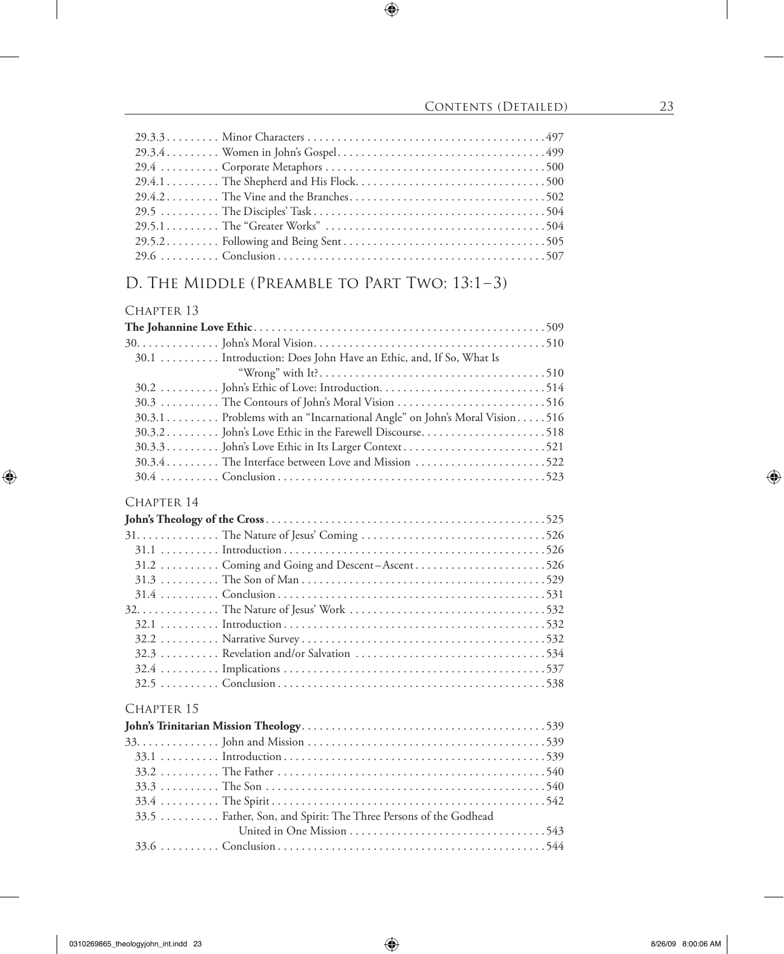| $29.5.2 \ldots \ldots$ Following and Being Sent $\ldots \ldots \ldots \ldots \ldots \ldots \ldots \ldots \ldots \ldots \ldots$ |  |
|--------------------------------------------------------------------------------------------------------------------------------|--|
|                                                                                                                                |  |
|                                                                                                                                |  |

#### D. THE MIDDLE (PREAMBLE TO PART TWO; 13:1-3)

#### CHAPTER 13

| 30.1 Introduction: Does John Have an Ethic, and, If So, What Is           |  |
|---------------------------------------------------------------------------|--|
|                                                                           |  |
|                                                                           |  |
|                                                                           |  |
| 30.3.1 Problems with an "Incarnational Angle" on John's Moral Vision. 516 |  |
|                                                                           |  |
|                                                                           |  |
|                                                                           |  |
|                                                                           |  |
| CHAPTER 14                                                                |  |
|                                                                           |  |
|                                                                           |  |
|                                                                           |  |
|                                                                           |  |
|                                                                           |  |
|                                                                           |  |
|                                                                           |  |
|                                                                           |  |
|                                                                           |  |
|                                                                           |  |
|                                                                           |  |
|                                                                           |  |

| 33.5 Father, Son, and Spirit: The Three Persons of the Godhead |  |
|----------------------------------------------------------------|--|
|                                                                |  |
|                                                                |  |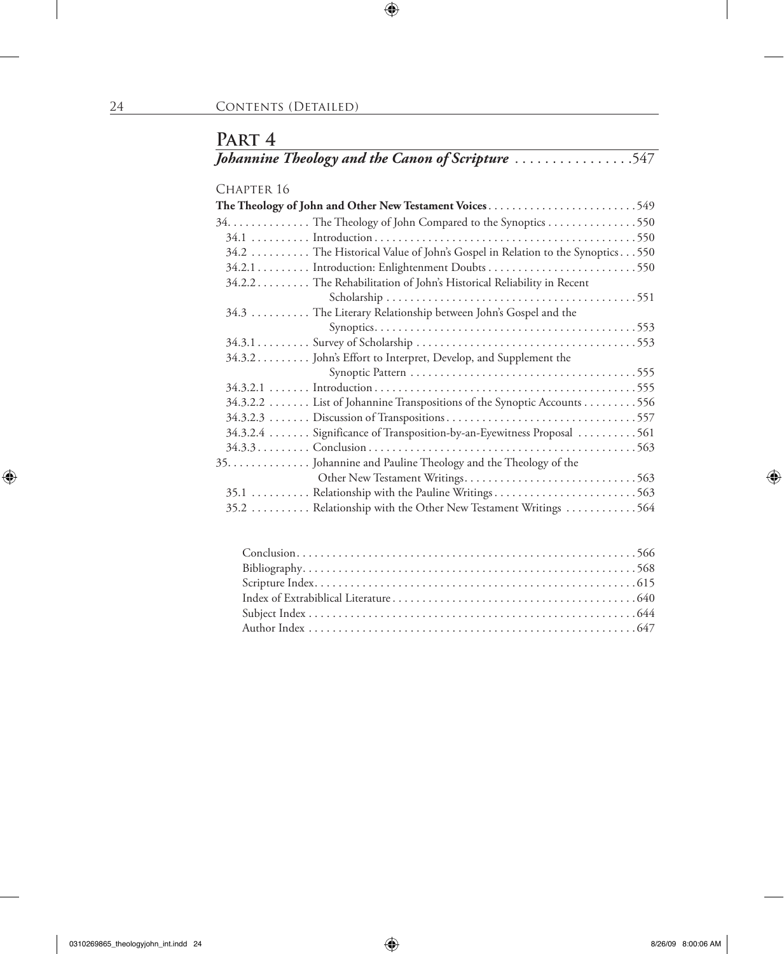# **PART 4**

|  |  |  | Johannine Theology and the Canon of Scripture 547 |
|--|--|--|---------------------------------------------------|
|--|--|--|---------------------------------------------------|

| 34. The Theology of John Compared to the Synoptics 550                      |  |
|-----------------------------------------------------------------------------|--|
|                                                                             |  |
| 34.2 The Historical Value of John's Gospel in Relation to the Synoptics 550 |  |
|                                                                             |  |
| 34.2.2 The Rehabilitation of John's Historical Reliability in Recent        |  |
|                                                                             |  |
| 34.3 The Literary Relationship between John's Gospel and the                |  |
|                                                                             |  |
|                                                                             |  |
| 34.3.2. John's Effort to Interpret, Develop, and Supplement the             |  |
|                                                                             |  |
|                                                                             |  |
| 34.3.2.2 List of Johannine Transpositions of the Synoptic Accounts 556      |  |
|                                                                             |  |
| 34.3.2.4 Significance of Transposition-by-an-Eyewitness Proposal 561        |  |
|                                                                             |  |
| 35. Johannine and Pauline Theology and the Theology of the                  |  |
|                                                                             |  |
|                                                                             |  |
| 35.2  Relationship with the Other New Testament Writings 564                |  |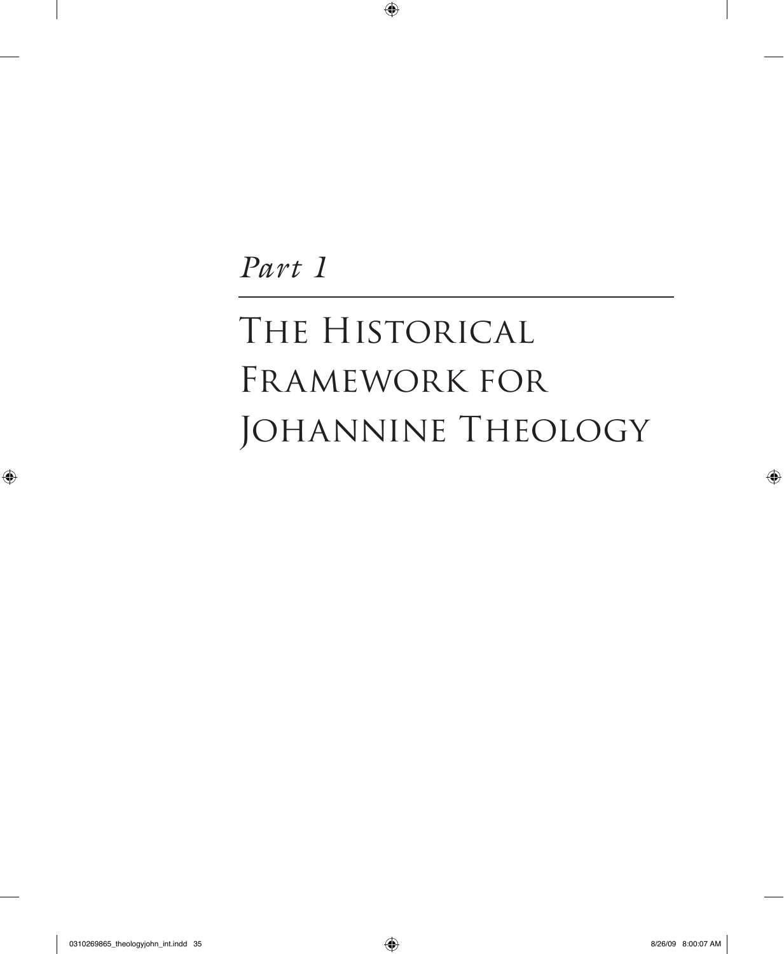*Part 1*

# THE HISTORICAL FRAMEWORK FOR JOHANNINE THEOLOGY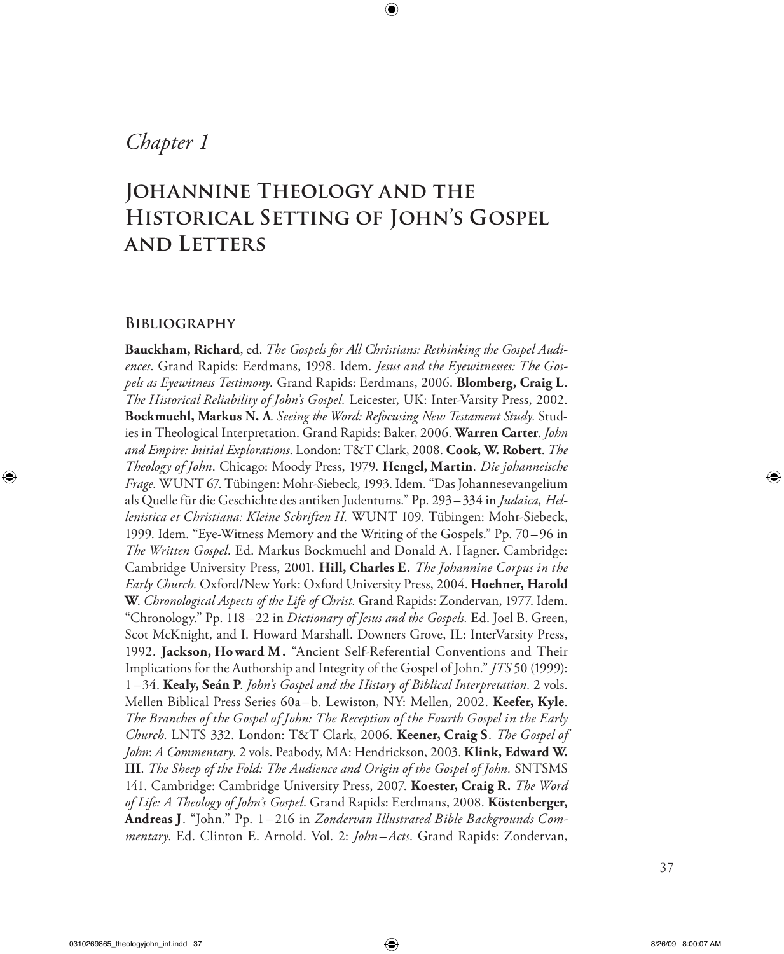# *Chapter* 1

# **JOHANNINE THEOLOGY AND THE** HISTORICAL SETTING OF JOHN'S GOSPEL **AND LETTERS**

#### *BIBLIOGRAPHY*

**Bauckham, Richard**, ed. *The Gospels for All Christians: Rethinking the Gospel Audiences.* Grand Rapids: Eerdmans, 1998. Idem. *Jesus and the Eyewitnesses: The Gospels as Eyewitness Testimony*. Grand Rapids: Eerdmans, 2006. **Blomberg, Craig L**. *The Historical Reliability of John's Gospel. Leicester, UK: Inter-Varsity Press, 2002.* **Bockmuehl, Markus N. A.** Seeing the Word: Refocusing New Testament Study. Studies in Theological Interpretation. Grand Rapids: Baker, 2006. Warren Carter. *John* and Empire: Initial Explorations. London: T&T Clark, 2008. Cook, W. Robert. The *Theology of John.* Chicago: Moody Press, 1979. Hengel, Martin. Die johanneische *'SBHF* WUNT 67. Tübingen: Mohr-Siebeck, 1993. Idem. "Das Johannesevangelium als Quelle für die Geschichte des antiken Judentums." Pp. 293 - 334 in *Judaica*, Hellenistica et Christiana: Kleine Schriften II. WUNT 109. Tübingen: Mohr-Siebeck, 1999. Idem. "Eye-Witness Memory and the Writing of the Gospels." Pp. 70 – 96 in The Written Gospel. Ed. Markus Bockmuehl and Donald A. Hagner. Cambridge: Cambridge University Press, 2001. **Hill, Charles E**. *The Johannine Corpus in the* Early Church. Oxford/New York: Oxford University Press, 2004. Hoehner, Harold W. *Chronological Aspects of the Life of Christ*. Grand Rapids: Zondervan, 1977. Idem. "Chronology." Pp. 118–22 in *Dictionary of Jesus and the Gospels*. Ed. Joel B. Green, Scot McKnight, and I. Howard Marshall. Downers Grove, IL: InterVarsity Press, 1992. Jackson, Howard M. "Ancient Self-Referential Conventions and Their Implications for the Authorship and Integrity of the Gospel of John." *JTS* 50 (1999): 1–34. **Kealy, Seán P**. John's Gospel and the History of Biblical Interpretation. 2 vols. Mellen Biblical Press Series 60a–b. Lewiston, NY: Mellen, 2002. **Keefer, Kyle**. The Branches of the Gospel of John: The Reception of the Fourth Gospel in the Early *Church.* LNTS 332. London: T&T Clark, 2006. **Keener, Craig S**. *The Gospel of John: A Commentary.* 2 vols. Peabody, MA: Hendrickson, 2003. **Klink, Edward W. III.** *The Sheep of the Fold: The Audience and Origin of the Gospel of John.* SNTSMS 141. Cambridge: Cambridge University Press, 2007. Koester, Craig R. The Word of Life: A Theology of John's Gospel. Grand Rapids: Eerdmans, 2008. **Köstenberger, Andreas J.** "John." Pp. 1–216 in *Zondervan Illustrated Bible Backgrounds Com-Mentary*. Ed. Clinton E. Arnold. Vol. 2: *John–Acts*. Grand Rapids: Zondervan,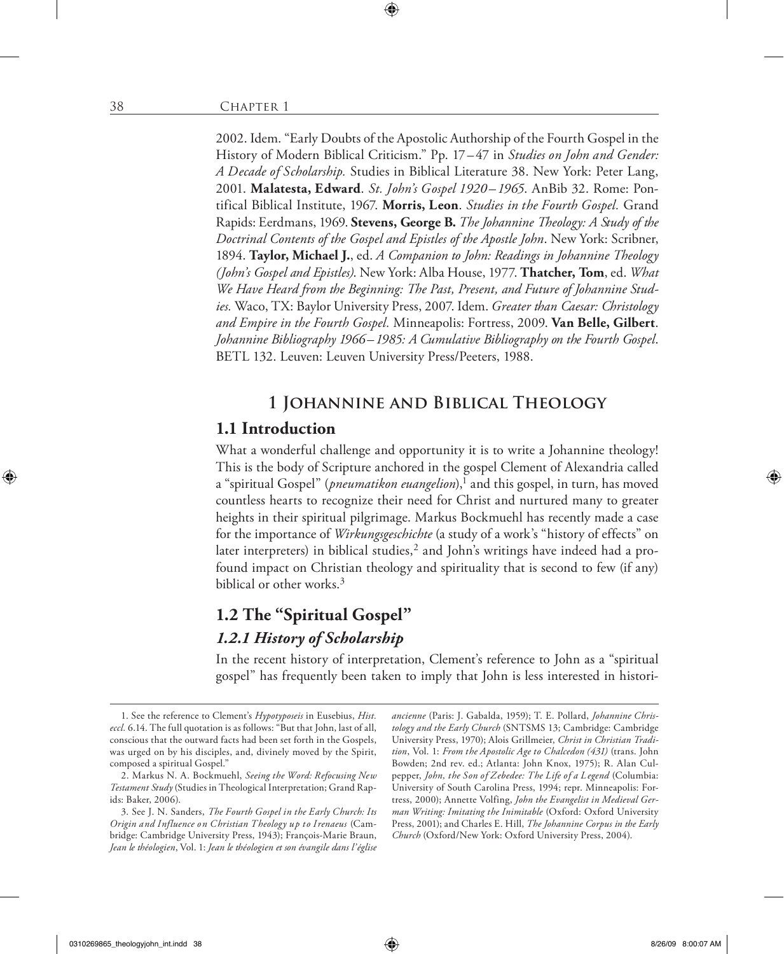2002. Idem. "Early Doubts of the Apostolic Authorship of the Fourth Gospel in the History of Modern Biblical Criticism." Pp. 17-47 in *Studies on John and Gender*: A Decade of Scholarship. Studies in Biblical Literature 38. New York: Peter Lang, 2001. Malatesta, Edward. St. John's Gospel 1920-1965. AnBib 32. Rome: Pontifical Biblical Institute, 1967. Morris, Leon. Studies in the Fourth Gospel. Grand Rapids: Eerdmans, 1969. Stevens, George B. The Johannine Theology: A Study of the *Doctrinal Contents of the Gospel and Epistles of the Apostle John.* New York: Scribner, 1894. Taylor, Michael J., ed. *A Companion to John: Readings in Johannine Theology (John's Gospel and Epistles)*. New York: Alba House, 1977. **Thatcher, Tom**, ed. *What* We Have Heard from the Beginning: The Past, Present, and Future of Johannine Stud*ies.* Waco, TX: Baylor University Press, 2007. Idem. *Greater than Caesar: Christology* and *Empire in the Fourth Gospel*. Minneapolis: Fortress, 2009. **Van Belle, Gilbert**. *Johannine Bibliography 1966–1985: A Cumulative Bibliography on the Fourth Gospel.* BETL 132. Leuven: Leuven University Press/Peeters, 1988.

# **1 JOHANNINE AND BIBLICAL THEOLOGY**

## **1.1 Introduction**

What a wonderful challenge and opportunity it is to write a Johannine theology! This is the body of Scripture anchored in the gospel Clement of Alexandria called a "spiritual Gospel" (*pneumatikon euangelion*),<sup>1</sup> and this gospel, in turn, has moved countless hearts to recognize their need for Christ and nurtured many to greater heights in their spiritual pilgrimage. Markus Bockmuehl has recently made a case for the importance of *Wirkungsgeschichte* (a study of a work's "history of effects" on later interpreters) in biblical studies,<sup>2</sup> and John's writings have indeed had a profound impact on Christian theology and spirituality that is second to few (if any) biblical or other works.<sup>3</sup>

# **1.2 The "Spiritual Gospel"** *1.2.1 History of Scholarship*

[In the recent history of interpretation, Clement's reference to John as a "spiritual](http://bit.ly/1e7LAk)  gospel" has frequently been taken to imply that John is less interested in histori-

ancienne (Paris: J. Gabalda, 1959); T. E. Pollard, *Johannine Chris*tology and the Early Church (SNTSMS 13; Cambridge: Cambridge University Press, 1970); Alois Grillmeier, *Christ in Christian Tradi*tion, Vol. 1: *From the Apostolic Age to Chalcedon (431)* (trans. John Bowden; 2nd rev. ed.; Atlanta: John Knox, 1975); R. Alan Culpepper, *John*, the Son of Zebedee: The Life of a Legend (Columbia: University of South Carolina Press, 1994; repr. Minneapolis: Fortress, 2000); Annette Volfing, *John the Evangelist in Medieval German Writing: Imitating the Inimitable* (Oxford: Oxford University Press, 2001); and Charles E. Hill, *The Johannine Corpus in the Early* Church (Oxford/New York: Oxford University Press, 2004).

<sup>1.</sup> See the reference to Clement's *Hypotyposeis* in Eusebius, *Hist*. eccl. 6.14. The full quotation is as follows: "But that John, last of all, conscious that the outward facts had been set forth in the Gospels, was urged on by his disciples, and, divinely moved by the Spirit, composed a spiritual Gospel."

<sup>2.</sup> Markus N. A. Bockmuehl, Seeing the Word: Refocusing New *Testament Study* (Studies in Theological Interpretation; Grand Rapids: Baker, 2006).

<sup>3.</sup> See J. N. Sanders, *The Fourth Gospel in the Early Church: Its Origin and Influence on Christian Theology up to Irenaeus* (Cambridge: Cambridge University Press, 1943); François-Marie Braun, Jean le théologien, Vol. 1: *Jean le théologien et son évangile dans l'église*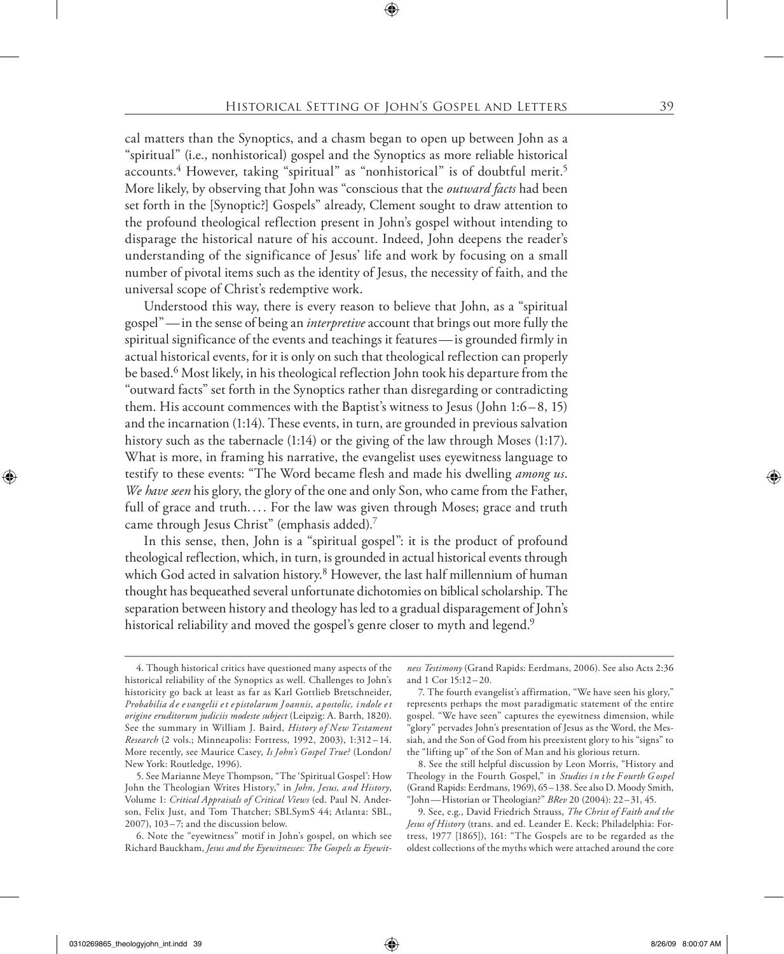cal matters than the Synoptics, and a chasm began to open up between John as a "spiritual" (i.e., nonhistorical) gospel and the Synoptics as more reliable historical accounts.4 However, taking "spiritual" as "nonhistorical" is of doubtful merit.5 More likely, by observing that John was "conscious that the *outward facts* had been set forth in the [Synoptic?] Gospels" already, Clement sought to draw attention to the profound theological reflection present in John's gospel without intending to disparage the historical nature of his account. Indeed, John deepens the reader's understanding of the significance of Jesus' life and work by focusing on a small number of pivotal items such as the identity of Jesus, the necessity of faith, and the universal scope of Christ's redemptive work.

Understood this way, there is every reason to believe that John, as a "spiritual gospel" — in the sense of being an *interpretive* account that brings out more fully the spiritual significance of the events and teachings it features — is grounded firmly in actual historical events, for it is only on such that theological reflection can properly [be based.6 Most likely, in his theological reflection John took his departure from the](http://bit.ly/1e7LAk)  "outward facts" set forth in the Synoptics rather than disregarding or contradicting them. His account commences with the Baptist's witness to Jesus (John 1:6 – 8, 15) and the incarnation (1:14). These events, in turn, are grounded in previous salvation history such as the tabernacle (1:14) or the giving of the law through Moses (1:17). What is more, in framing his narrative, the evangelist uses eyewitness language to testify to these events: "The Word became flesh and made his dwelling *among us*. *We have seen* his glory, the glory of the one and only Son, who came from the Father, full of grace and truth.... For the law was given through Moses; grace and truth came through Jesus Christ" (emphasis added).7

In this sense, then, John is a "spiritual gospel": it is the product of profound theological reflection, which, in turn, is grounded in actual historical events through which God acted in salvation history.<sup>8</sup> However, the last half millennium of human thought has bequeathed several unfortunate dichotomies on biblical scholarship. The separation between history and theology has led to a gradual disparagement of John's historical reliability and moved the gospel's genre closer to myth and legend.<sup>9</sup>

ness Testimony (Grand Rapids: Eerdmans, 2006). See also Acts 2:36 and 1 Cor 15:12 – 20.

<sup>4.</sup> Though historical critics have questioned many aspects of the historical reliability of the Synoptics as well. Challenges to John's historicity go back at least as far as Karl Gottlieb Bretschneider, Probabilia de evangelii et epistolarum Joannis, a postolic, indole et *prigine eruditorum judiciis modeste subject* (Leipzig: A. Barth, 1820). See the summary in William J. Baird, *History of New Testament Research* (2 vols.; Minneapolis: Fortress, 1992, 2003), 1:312-14. More recently, see Maurice Casey, *Is John's Gospel True?* (London/ New York: Routledge, 1996).

<sup>5.</sup> See Marianne Meye Thompson, "The 'Spiritual Gospel': How John the Theologian Writes History," in *John*, Jesus, and History, Volume 1: Critical Appraisals of Critical Views (ed. Paul N. Anderson, Felix Just, and Tom Thatcher; SBLSymS 44; Atlanta: SBL,  $2007$ ),  $103 - 7$ ; and the discussion below.

<sup>6.</sup> Note the "eyewitness" motif in John's gospel, on which see Richard Bauckham, *Jesus and the Eyewitnesses: The Gospels as Eyewit-*

<sup>7.</sup> The fourth evangelist's affirmation, "We have seen his glory," represents perhaps the most paradigmatic statement of the entire gospel. "We have seen" captures the eyewitness dimension, while "glory" pervades John's presentation of Jesus as the Word, the Messiah, and the Son of God from his preexistent glory to his "signs" to the "lifting up" of the Son of Man and his glorious return.

<sup>8.</sup> See the still helpful discussion by Leon Morris, "History and Theology in the Fourth Gospel," in *Studies in the Fourth Gospel* (Grand Rapids: Eerdmans, 1969), 65 – 138. See also D. Moody Smith, "John-Historian or Theologian?" *BRev* 20 (2004): 22-31, 45.

<sup>9.</sup> See, e.g., David Friedrich Strauss, *The Christ of Faith and the Jesus of History* (trans. and ed. Leander E. Keck; Philadelphia: Fortress, 1977 [1865]), 161: "The Gospels are to be regarded as the oldest collections of the myths which were attached around the core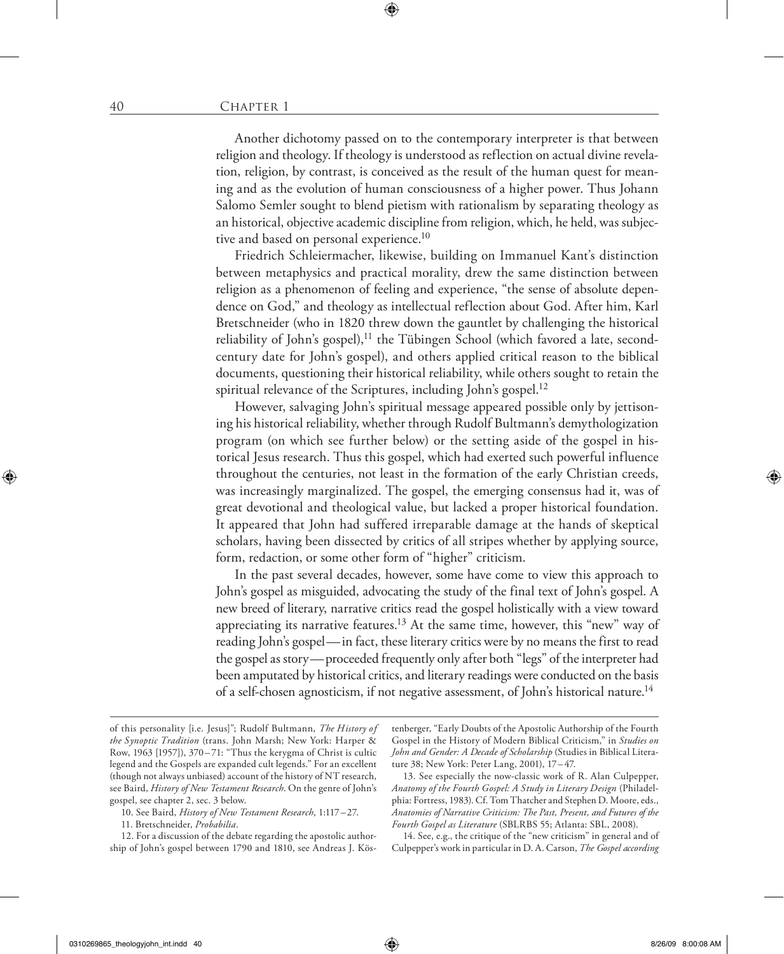Another dichotomy passed on to the contemporary interpreter is that between religion and theology. If theology is understood as reflection on actual divine revelation, religion, by contrast, is conceived as the result of the human quest for meaning and as the evolution of human consciousness of a higher power. Thus Johann Salomo Semler sought to blend pietism with rationalism by separating theology as an historical, objective academic discipline from religion, which, he held, was subjective and based on personal experience.<sup>10</sup>

Friedrich Schleiermacher, likewise, building on Immanuel Kant's distinction between metaphysics and practical morality, drew the same distinction between religion as a phenomenon of feeling and experience, "the sense of absolute dependence on God," and theology as intellectual reflection about God. After him, Karl Bretschneider (who in 1820 threw down the gauntlet by challenging the historical reliability of John's gospel),<sup>11</sup> the Tübingen School (which favored a late, secondcentury date for John's gospel), and others applied critical reason to the biblical documents, questioning their historical reliability, while others sought to retain the spiritual relevance of the Scriptures, including John's gospel.12

However, salvaging John's spiritual message appeared possible only by jettisoning his historical reliability, whether through Rudolf Bultmann's demythologization program (on which see further below) or the setting aside of the gospel in historical Jesus research. Thus this gospel, which had exerted such powerful influence throughout the centuries, not least in the formation of the early Christian creeds, was increasingly marginalized. The gospel, the emerging consensus had it, was of great devotional and theological value, but lacked a proper historical foundation. It appeared that John had suffered irreparable damage at the hands of skeptical scholars, having been dissected by critics of all stripes whether by applying source, form, redaction, or some other form of "higher" criticism.

In the past several decades, however, some have come to view this approach to John's gospel as misguided, advocating the study of the final text of John's gospel. A new breed of literary, narrative critics read the gospel holistically with a view toward appreciating its narrative features.<sup>13</sup> At the same time, however, this "new" way of reading John's gospel — in fact, these literary critics were by no means the first to read the gospel as story — proceeded frequently only after both "legs" of the interpreter had been amputated by historical critics, and literary readings were conducted on the basis of a self-chosen agnosticism, if not negative assessment, of John's historical nature.<sup>14</sup>

12. For a discussion of the debate regarding the apostolic authorship of John's gospel between 1790 and 1810, see Andreas J. Kös-

14. See, e.g., the critique of the "new criticism" in general and of Culpepper's work in particular in D. A. Carson, *The Gospel according* 

of this personality [i.e. Jesus]"; Rudolf Bultmann, *The History of* the Synoptic Tradition (trans. John Marsh; New York: Harper & Row, 1963 [1957]), 370 – 71: "Thus the kerygma of Christ is cultic legend and the Gospels are expanded cult legends." For an excellent (though not always unbiased) account of the history of NT research, see Baird, *History of New Testament Research*. On the genre of John's gospel, see chapter 2, sec. 3 below.

<sup>10.</sup> See Baird, *History of New Testament Research*, 1:117 - 27.

<sup>11.</sup> Bretschneider, Probabilia.

tenberger, "Early Doubts of the Apostolic Authorship of the Fourth Gospel in the History of Modern Biblical Criticism," in *Studies on John and Gender: A Decade of Scholarship* (Studies in Biblical Literature 38; New York: Peter Lang, 2001), 17 – 47.

<sup>13.</sup> See especially the now-classic work of R. Alan Culpepper, Anatomy of the Fourth Gospel: A Study in Literary Design (Philadelphia: Fortress, 1983). Cf. Tom Thatcher and Stephen D. Moore, eds., Anatomies of Narrative Criticism: The Past, Present, and Futures of the Fourth Gospel as Literature (SBLRBS 55; Atlanta: SBL, 2008).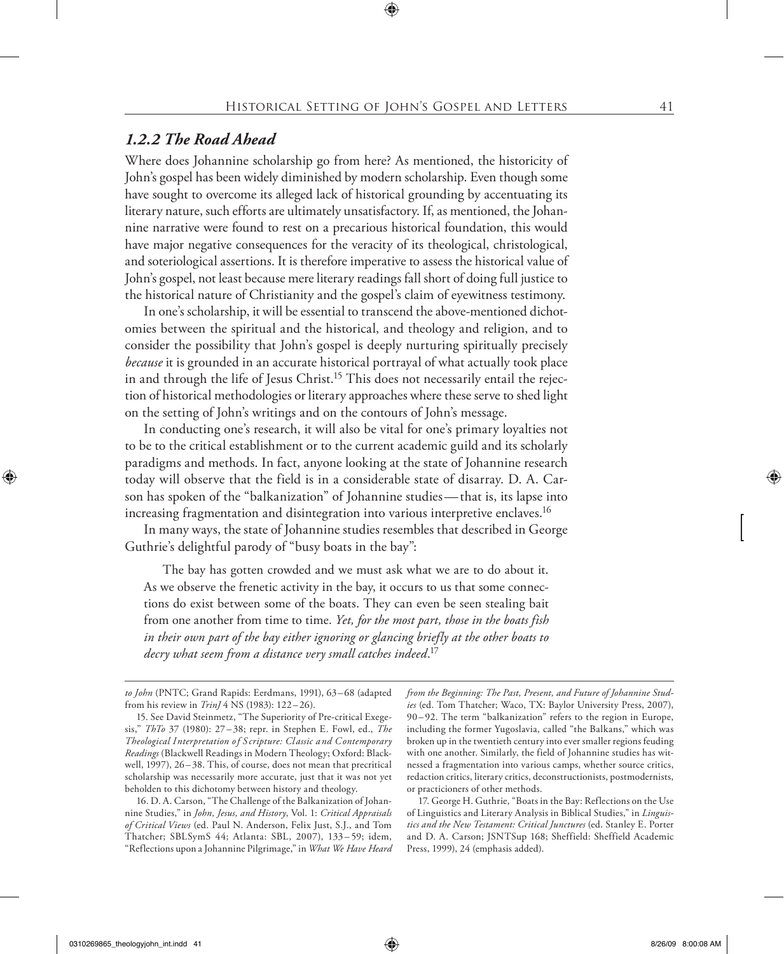#### **1.2.2 The Road Ahead**

Where does Johannine scholarship go from here? As mentioned, the historicity of John's gospel has been widely diminished by modern scholarship. Even though some have sought to overcome its alleged lack of historical grounding by accentuating its literary nature, such efforts are ultimately unsatisfactory. If, as mentioned, the Johannine narrative were found to rest on a precarious historical foundation, this would have major negative consequences for the veracity of its theological, christological, and soteriological assertions. It is therefore imperative to assess the historical value of John's gospel, not least because mere literary readings fall short of doing full justice to the historical nature of Christianity and the gospel's claim of eyewitness testimony.

In one's scholarship, it will be essential to transcend the above-mentioned dichotomies between the spiritual and the historical, and theology and religion, and to consider the possibility that John's gospel is deeply nurturing spiritually precisely *because* it is grounded in an accurate historical portrayal of what actually took place in and through the life of Jesus Christ.<sup>15</sup> This does not necessarily entail the rejection of historical methodologies or literary approaches where these serve to shed light on the setting of John's writings and on the contours of John's message.

In conducting one's research, it will also be vital for one's primary loyalties not to be to the critical establishment or to the current academic guild and its scholarly paradigms and methods. In fact, anyone looking at the state of Johannine research today will observe that the field is in a considerable state of disarray. D. A. Carson has spoken of the "balkanization" of Johannine studies — that is, its lapse into increasing fragmentation and disintegration into various interpretive enclaves.<sup>16</sup>

In many ways, the state of Johannine studies resembles that described in George Guthrie's delightful parody of "busy boats in the bay":

The bay has gotten crowded and we must ask what we are to do about it. As we observe the frenetic activity in the bay, it occurs to us that some connections do exist between some of the boats. They can even be seen stealing bait from one another from time to time. Yet, for the most part, those in the boats fish in their own part of the bay either ignoring or glancing briefly at the other boats to decry what seem from a distance very small catches indeed.<sup>17</sup>

from the Beginning: The Past, Present, and Future of Johannine Studies (ed. Tom Thatcher; Waco, TX: Baylor University Press, 2007), 90 – 92. The term "balkanization" refers to the region in Europe, including the former Yugoslavia, called "the Balkans," which was broken up in the twentieth century into ever smaller regions feuding with one another. Similarly, the field of Johannine studies has witnessed a fragmentation into various camps, whether source critics, redaction critics, literary critics, deconstructionists, postmodernists, or practicioners of other methods.

17. George H. Guthrie, "Boats in the Bay: Reflections on the Use of Linguistics and Literary Analysis in Biblical Studies," in *Linguis*tics and the New Testament: Critical Junctures (ed. Stanley E. Porter and D. A. Carson; JSNTSup 168; Sheffield: Sheffield Academic Press, 1999), 24 (emphasis added).

to John (PNTC; Grand Rapids: Eerdmans, 1991), 63-68 (adapted from his review in *TrinJ* 4 NS (1983): 122-26).

<sup>15.</sup> See David Steinmetz, "The Superiority of Pre-critical Exegesis," *ThTo* 37 (1980): 27-38; repr. in Stephen E. Fowl, ed., *The Theological Interpretation of Scripture: Classic and Contemporary Readings* (Blackwell Readings in Modern Theology; Oxford: Blackwell, 1997), 26-38. This, of course, does not mean that precritical scholarship was necessarily more accurate, just that it was not yet beholden to this dichotomy between history and theology.

<sup>16.</sup> D. A. Carson, "The Challenge of the Balkanization of Johannine Studies," in *John, Jesus, and History*, Vol. 1: *Critical Appraisals* of Critical Views (ed. Paul N. Anderson, Felix Just, S.J., and Tom Thatcher; SBLSymS 44; Atlanta: SBL, 2007), 133 – 59; idem, "Reflections upon a Johannine Pilgrimage," in *What We Have Heard*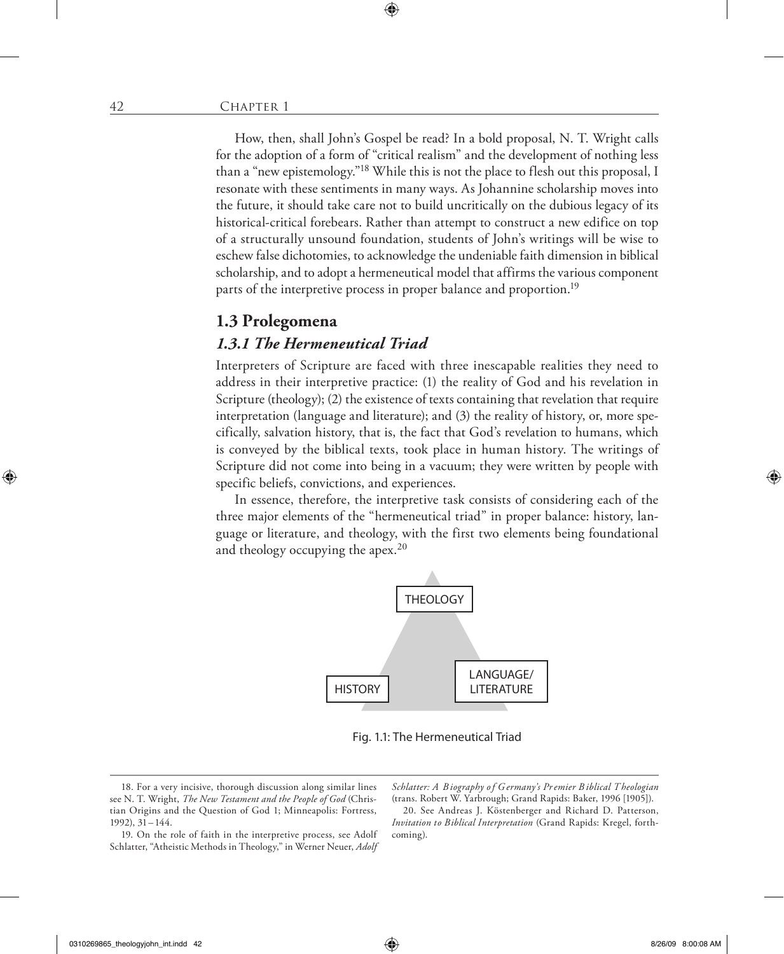How, then, shall John's Gospel be read? In a bold proposal, N. T. Wright calls for the adoption of a form of "critical realism" and the development of nothing less [than a "new epistemology."18 While this is not the place to flesh out this proposal, I](http://bit.ly/1e7LAk)  resonate with these sentiments in many ways. As Johannine scholarship moves into the future, it should take care not to build uncritically on the dubious legacy of its historical-critical forebears. Rather than attempt to construct a new edifice on top of a structurally unsound foundation, students of John's writings will be wise to eschew false dichotomies, to acknowledge the undeniable faith dimension in biblical scholarship, and to adopt a hermeneutical model that affirms the various component parts of the interpretive process in proper balance and proportion.<sup>19</sup>

#### 1.3 Prolegomena

#### **1.3.1 The Hermeneutical Triad**

Interpreters of Scripture are faced with three inescapable realities they need to address in their interpretive practice: (1) the reality of God and his revelation in Scripture (theology); (2) the existence of texts containing that revelation that require interpretation (language and literature); and (3) the reality of history, or, more specifically, salvation history, that is, the fact that God's revelation to humans, which is conveyed by the biblical texts, took place in human history. The writings of Scripture did not come into being in a vacuum; they were written by people with specific beliefs, convictions, and experiences.

In essence, therefore, the interpretive task consists of considering each of the three major elements of the "hermeneutical triad" in proper balance: history, language or literature, and theology, with the first two elements being foundational and theology occupying the apex.<sup>20</sup>



Fig. 1.1: The Hermeneutical Triad

Schlatter: A Biography of Germany's Premier Biblical Theologian (trans. Robert W. Yarbrough; Grand Rapids: Baker, 1996 [1905]).

<sup>18.</sup> For a very incisive, thorough discussion along similar lines see N. T. Wright, *The New Testament and the People of God* (Christian Origins and the Question of God 1; Minneapolis: Fortress, 1992), 31 – 144.

<sup>19.</sup> On the role of faith in the interpretive process, see Adolf Schlatter, "Atheistic Methods in Theology," in Werner Neuer, *Adolf* 

<sup>20.</sup> See Andreas J. Köstenberger and Richard D. Patterson, *Invitation to Biblical Interpretation* (Grand Rapids: Kregel, forthcoming).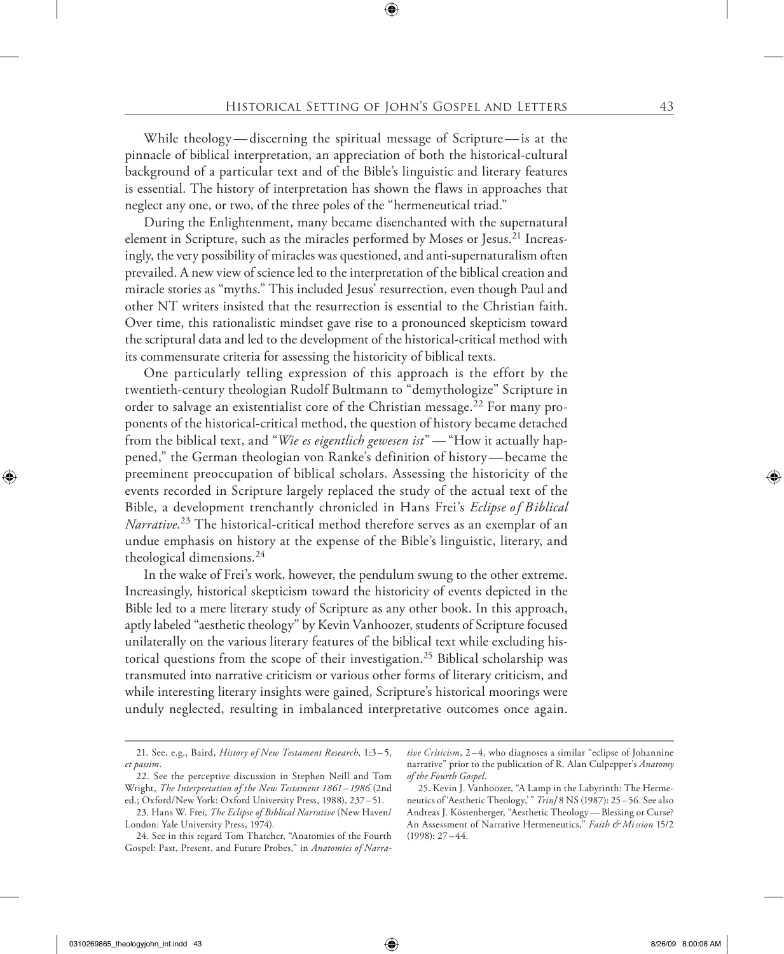While theology — discerning the spiritual message of Scripture — is at the pinnacle of biblical interpretation, an appreciation of both the historical-cultural background of a particular text and of the Bible's linguistic and literary features is essential. The history of interpretation has shown the flaws in approaches that neglect any one, or two, of the three poles of the "hermeneutical triad."

During the Enlightenment, many became disenchanted with the supernatural element in Scripture, such as the miracles performed by Moses or Jesus.<sup>21</sup> Increas[ingly, the very possibility of miracles was questioned, and anti-supernaturalism often](http://bit.ly/1e7LAk)  prevailed. A new view of science led to the interpretation of the biblical creation and miracle stories as "myths." This included Jesus' resurrection, even though Paul and other NT writers insisted that the resurrection is essential to the Christian faith. Over time, this rationalistic mindset gave rise to a pronounced skepticism toward the scriptural data and led to the development of the historical-critical method with its commensurate criteria for assessing the historicity of biblical texts.

One particularly telling expression of this approach is the effort by the twentieth-century theologian Rudolf Bultmann to "demythologize" Scripture in order to salvage an existentialist core of the Christian message.<sup>22</sup> For many proponents of the historical-critical method, the question of history became detached from the biblical text, and "*Wie es eigentlich gewesen ist*" — "How it actually happened," the German theologian von Ranke's definition of history — became the preeminent preoccupation of biblical scholars. Assessing the historicity of the events recorded in Scripture largely replaced the study of the actual text of the Bible, a development trenchantly chronicled in Hans Frei's *Eclipse of Biblical Narrative*.<sup>23</sup> The historical-critical method therefore serves as an exemplar of an undue emphasis on history at the expense of the Bible's linguistic, literary, and theological dimensions.<sup>24</sup>

In the wake of Frei's work, however, the pendulum swung to the other extreme. Increasingly, historical skepticism toward the historicity of events depicted in the Bible led to a mere literary study of Scripture as any other book. In this approach, aptly labeled "aesthetic theology" by Kevin Vanhoozer, students of Scripture focused unilaterally on the various literary features of the biblical text while excluding historical questions from the scope of their investigation.<sup>25</sup> Biblical scholarship was transmuted into narrative criticism or various other forms of literary criticism, and while interesting literary insights were gained, Scripture's historical moorings were unduly neglected, resulting in imbalanced interpretative outcomes once again.

tive Criticism, 2-4, who diagnoses a similar "eclipse of Johannine narrative" prior to the publication of R. Alan Culpepper's *Anatomy* of the Fourth Gospel.

25. Kevin J. Vanhoozer, "A Lamp in the Labyrinth: The Hermeneutics of 'Aesthetic Theology,'" *TrinJ* 8 NS (1987): 25-56. See also Andreas J. Köstenberger, "Aesthetic Theology — Blessing or Curse? An Assessment of Narrative Hermeneutics," Faith & Mission 15/2  $(1998): 27 - 44.$ 

<sup>21.</sup> See, e.g., Baird, *History of New Testament Research*, 1:3-5,  $et$ *passim*.

<sup>22.</sup> See the perceptive discussion in Stephen Neill and Tom Wright, *The Interpretation of the New Testament 1861-1986* (2nd ed.; Oxford/New York: Oxford University Press, 1988), 237 – 51.

<sup>23.</sup> Hans W. Frei, *The Eclipse of Biblical Narrative* (New Haven/ London: Yale University Press, 1974).

<sup>24.</sup> See in this regard Tom Thatcher, "Anatomies of the Fourth Gospel: Past, Present, and Future Probes," in *Anatomies of Narra-*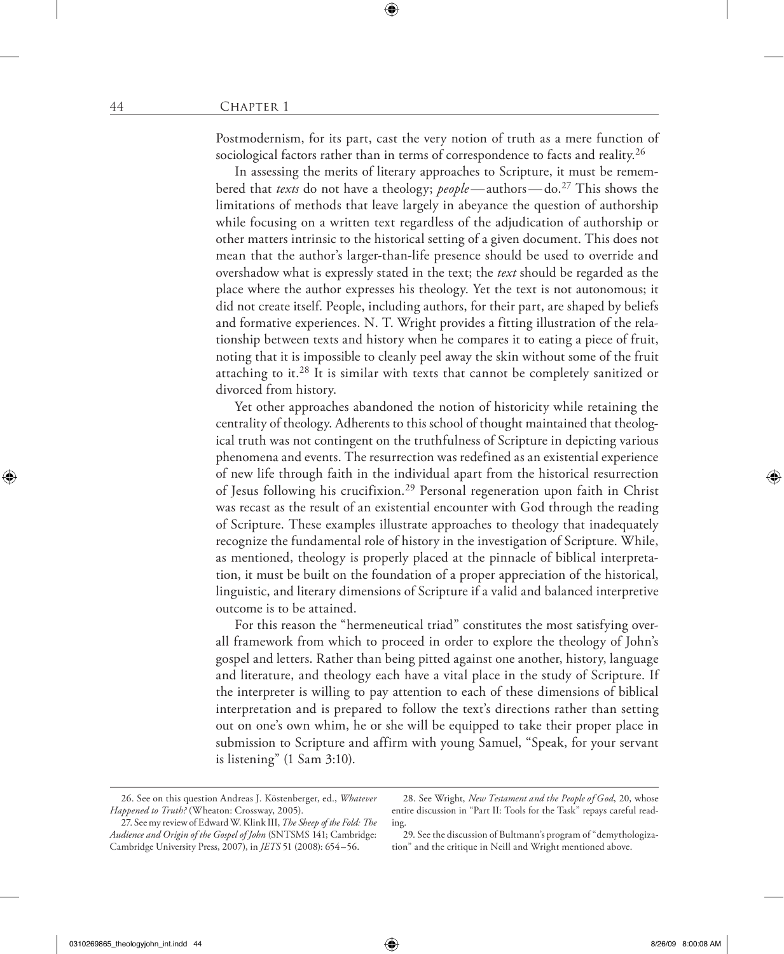Postmodernism, for its part, cast the very notion of truth as a mere function of sociological factors rather than in terms of correspondence to facts and reality.<sup>26</sup>

In assessing the merits of literary approaches to Scripture, it must be remembered that *texts* do not have a theology; *people*—authors — do.<sup>27</sup> This shows the limitations of methods that leave largely in abeyance the question of authorship while focusing on a written text regardless of the adjudication of authorship or other matters intrinsic to the historical setting of a given document. This does not mean that the author's larger-than-life presence should be used to override and overshadow what is expressly stated in the text; the *text* should be regarded as the place where the author expresses his theology. Yet the text is not autonomous; it [did not create itself. People, including authors, for their part, are shaped by beliefs](http://bit.ly/1e7LAk)  and formative experiences. N. T. Wright provides a fitting illustration of the relationship between texts and history when he compares it to eating a piece of fruit, noting that it is impossible to cleanly peel away the skin without some of the fruit attaching to it.28 It is similar with texts that cannot be completely sanitized or divorced from history.

Yet other approaches abandoned the notion of historicity while retaining the centrality of theology. Adherents to this school of thought maintained that theological truth was not contingent on the truthfulness of Scripture in depicting various phenomena and events. The resurrection was redefined as an existential experience of new life through faith in the individual apart from the historical resurrection of Jesus following his crucifixion.29 Personal regeneration upon faith in Christ was recast as the result of an existential encounter with God through the reading of Scripture. These examples illustrate approaches to theology that inadequately recognize the fundamental role of history in the investigation of Scripture. While, as mentioned, theology is properly placed at the pinnacle of biblical interpretation, it must be built on the foundation of a proper appreciation of the historical, linguistic, and literary dimensions of Scripture if a valid and balanced interpretive outcome is to be attained.

For this reason the "hermeneutical triad" constitutes the most satisfying overall framework from which to proceed in order to explore the theology of John's gospel and letters. Rather than being pitted against one another, history, language and literature, and theology each have a vital place in the study of Scripture. If the interpreter is willing to pay attention to each of these dimensions of biblical interpretation and is prepared to follow the text's directions rather than setting out on one's own whim, he or she will be equipped to take their proper place in submission to Scripture and affirm with young Samuel, "Speak, for your servant is listening" (1 Sam 3:10).

<sup>26.</sup> See on this question Andreas J. Köstenberger, ed., *Whatever Happened to Truth?* (Wheaton: Crossway, 2005).

<sup>27.</sup> See my review of Edward W. Klink III, *The Sheep of the Fold: The* Audience and Origin of the Gospel of John (SNTSMS 141; Cambridge: Cambridge University Press, 2007), in *JETS* 51 (2008): 654-56.

<sup>28.</sup> See Wright, *New Testament and the People of God*, 20, whose entire discussion in "Part II: Tools for the Task" repays careful reading.

<sup>29.</sup> See the discussion of Bultmann's program of "demythologization" and the critique in Neill and Wright mentioned above.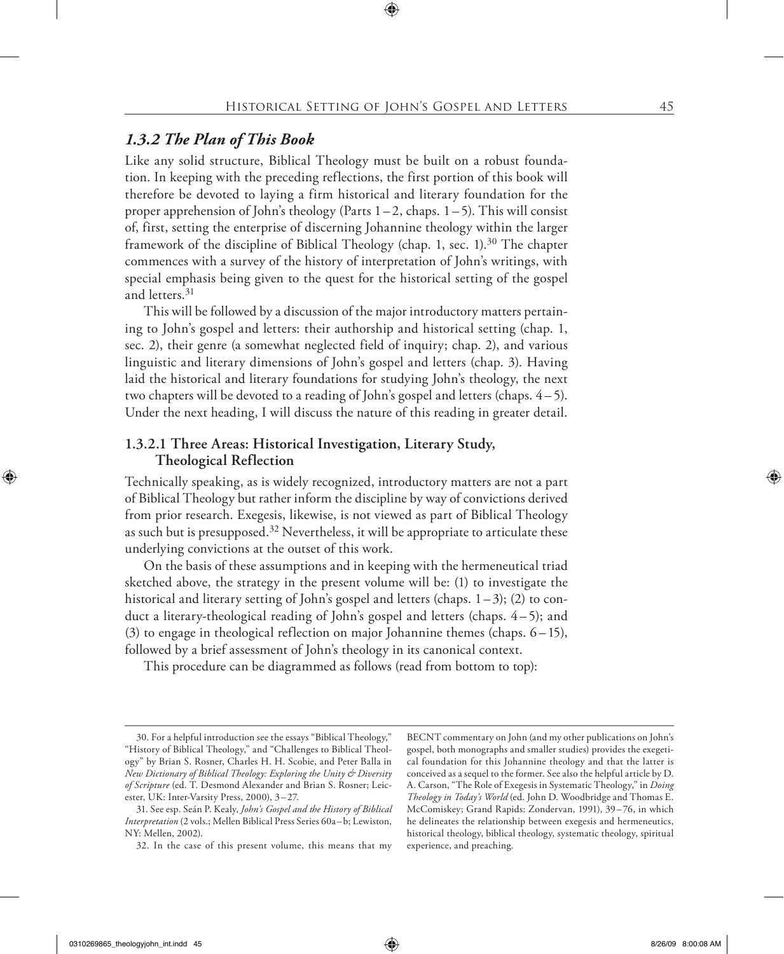#### **1.3.2 The Plan of This Book**

Like any solid structure, Biblical Theology must be built on a robust foundation. In keeping with the preceding reflections, the first portion of this book will therefore be devoted to laying a firm historical and literary foundation for the proper apprehension of John's theology (Parts  $1-2$ , chaps.  $1-5$ ). This will consist of, first, setting the enterprise of discerning Johannine theology within the larger framework of the discipline of Biblical Theology (chap. 1, sec. 1).<sup>30</sup> The chapter commences with a survey of the history of interpretation of John's writings, with special emphasis being given to the quest for the historical setting of the gospel and letters.31

This will be followed by a discussion of the major introductory matters pertaining to John's gospel and letters: their authorship and historical setting (chap. 1, sec. 2), their genre (a somewhat neglected field of inquiry; chap. 2), and various linguistic and literary dimensions of John's gospel and letters (chap. 3). Having laid the historical and literary foundations for studying John's theology, the next two chapters will be devoted to a reading of John's gospel and letters (chaps. 4 – 5). Under the next heading, I will discuss the nature of this reading in greater detail.

#### **1.3.2.1 Three Areas: Historical Investigation, Literary Study, Theological Reflection**

Technically speaking, as is widely recognized, introductory matters are not a part of Biblical Theology but rather inform the discipline by way of convictions derived from prior research. Exegesis, likewise, is not viewed as part of Biblical Theology as such but is presupposed.<sup>32</sup> Nevertheless, it will be appropriate to articulate these underlying convictions at the outset of this work.

On the basis of these assumptions and in keeping with the hermeneutical triad sketched above, the strategy in the present volume will be: (1) to investigate the historical and literary setting of John's gospel and letters (chaps.  $1-3$ ); (2) to conduct a literary-theological reading of John's gospel and letters (chaps. 4 – 5); and (3) to engage in theological reflection on major Johannine themes (chaps.  $6-15$ ), followed by a brief assessment of John's theology in its canonical context.

This procedure can be diagrammed as follows (read from bottom to top):

BECNT commentary on John (and my other publications on John's gospel, both monographs and smaller studies) provides the exegetical foundation for this Johannine theology and that the latter is conceived as a sequel to the former. See also the helpful article by D. A. Carson, "The Role of Exegesis in Systematic Theology," in *Doing Theology in Today's World* (ed. John D. Woodbridge and Thomas E. McComiskey; Grand Rapids: Zondervan, 1991), 39 – 76, in which he delineates the relationship between exegesis and hermeneutics, historical theology, biblical theology, systematic theology, spiritual experience, and preaching.

<sup>30.</sup> For a helpful introduction see the essays "Biblical Theology," "History of Biblical Theology," and "Challenges to Biblical Theology" by Brian S. Rosner, Charles H. H. Scobie, and Peter Balla in *New Dictionary of Biblical Theology: Exploring the Unity & Diversity* of Scripture (ed. T. Desmond Alexander and Brian S. Rosner; Leicester, UK: Inter-Varsity Press, 2000), 3-27.

<sup>31.</sup> See esp. Seán P. Kealy, *John's Gospel and the History of Biblical Interpretation* (2 vols.; Mellen Biblical Press Series 60a-b; Lewiston, NY: Mellen, 2002).

<sup>32.</sup> In the case of this present volume, this means that my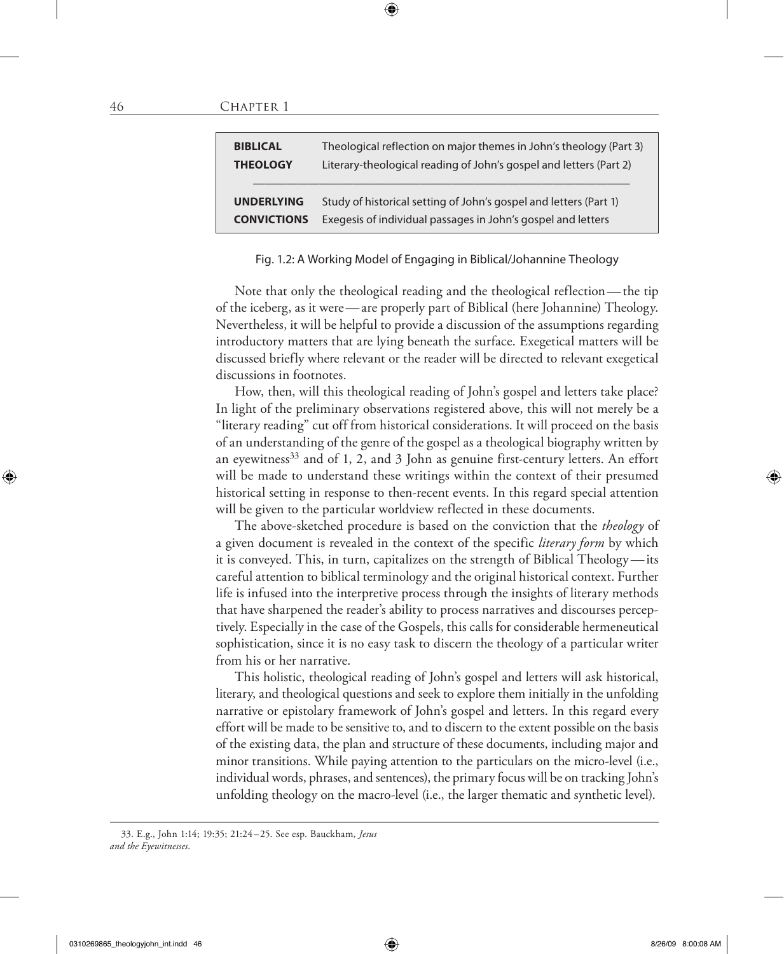| <b>BIBLICAL</b>    | Theological reflection on major themes in John's theology (Part 3) |
|--------------------|--------------------------------------------------------------------|
| <b>THEOLOGY</b>    | Literary-theological reading of John's gospel and letters (Part 2) |
| <b>UNDERLYING</b>  | Study of historical setting of John's gospel and letters (Part 1)  |
| <b>CONVICTIONS</b> | Exegesis of individual passages in John's gospel and letters       |

#### Fig. 1.2: A Working Model of Engaging in Biblical/Johannine Theology

Note that only the theological reading and the theological reflection — the tip of the iceberg, as it were — are properly part of Biblical (here Johannine) Theology. Nevertheless, it will be helpful to provide a discussion of the assumptions regarding introductory matters that are lying beneath the surface. Exegetical matters will be discussed briefly where relevant or the reader will be directed to relevant exegetical discussions in footnotes.

How, then, will this theological reading of John's gospel and letters take place? In light of the preliminary observations registered above, this will not merely be a "literary reading" cut off from historical considerations. It will proceed on the basis of an understanding of the genre of the gospel as a theological biography written by an eyewitness<sup>33</sup> and of 1, 2, and 3 John as genuine first-century letters. An effort [will be made to understand these writings within the context of their presumed](http://bit.ly/1e7LAk)  historical setting in response to then-recent events. In this regard special attention will be given to the particular worldview reflected in these documents.

The above-sketched procedure is based on the conviction that the *theology* of a given document is revealed in the context of the specific *literary form* by which it is conveyed. This, in turn, capitalizes on the strength of Biblical Theology — its careful attention to biblical terminology and the original historical context. Further life is infused into the interpretive process through the insights of literary methods that have sharpened the reader's ability to process narratives and discourses perceptively. Especially in the case of the Gospels, this calls for considerable hermeneutical sophistication, since it is no easy task to discern the theology of a particular writer from his or her narrative.

This holistic, theological reading of John's gospel and letters will ask historical, literary, and theological questions and seek to explore them initially in the unfolding narrative or epistolary framework of John's gospel and letters. In this regard every effort will be made to be sensitive to, and to discern to the extent possible on the basis of the existing data, the plan and structure of these documents, including major and minor transitions. While paying attention to the particulars on the micro-level (i.e., individual words, phrases, and sentences), the primary focus will be on tracking John's unfolding theology on the macro-level (i.e., the larger thematic and synthetic level).

<sup>33.</sup> E.g., John 1:14; 19:35; 21:24-25. See esp. Bauckham, Jesus and the Eyewitnesses.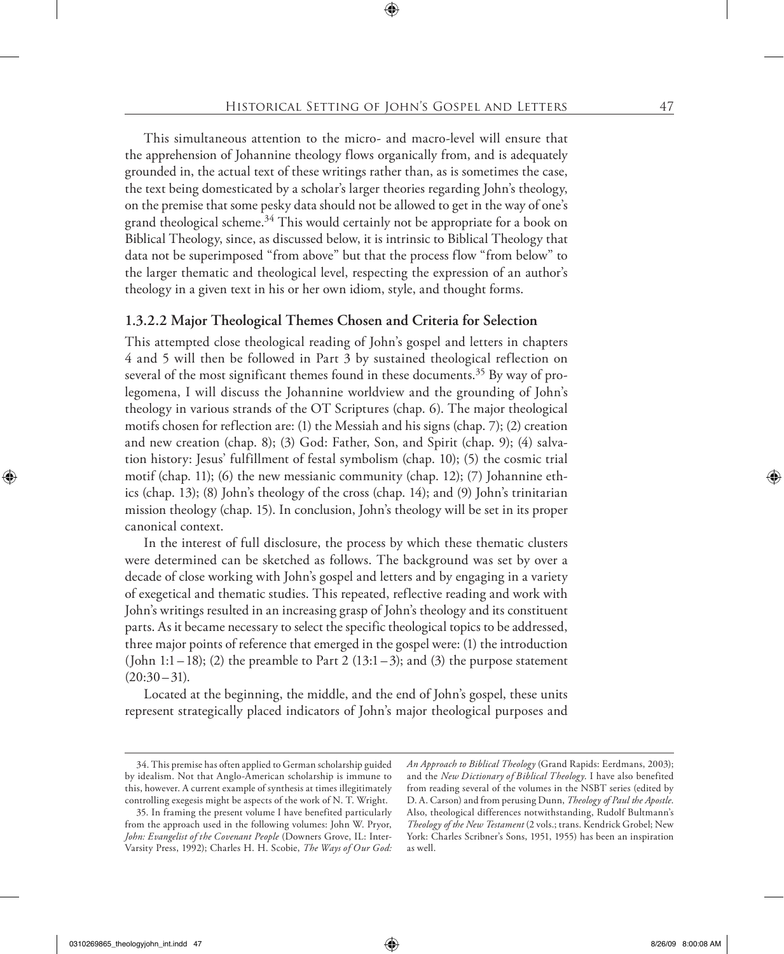This simultaneous attention to the micro- and macro-level will ensure that the apprehension of Johannine theology flows organically from, and is adequately grounded in, the actual text of these writings rather than, as is sometimes the case, the text being domesticated by a scholar's larger theories regarding John's theology, on the premise that some pesky data should not be allowed to get in the way of one's grand theological scheme.<sup>34</sup> This would certainly not be appropriate for a book on Biblical Theology, since, as discussed below, it is intrinsic to Biblical Theology that data not be superimposed "from above" but that the process flow "from below" to the larger thematic and theological level, respecting the expression of an author's theology in a given text in his or her own idiom, style, and thought forms.

#### **1.3.2.2 Major Theological Themes Chosen and Criteria for Selection**

This attempted close theological reading of John's gospel and letters in chapters 4 and 5 will then be followed in Part 3 by sustained theological reflection on several of the most significant themes found in these documents.<sup>35</sup> By way of prolegomena, I will discuss the Johannine worldview and the grounding of John's theology in various strands of the OT Scriptures (chap. 6). The major theological motifs chosen for reflection are: (1) the Messiah and his signs (chap. 7); (2) creation and new creation (chap. 8); (3) God: Father, Son, and Spirit (chap. 9); (4) salvation history: Jesus' fulfillment of festal symbolism (chap. 10); (5) the cosmic trial motif (chap. 11); (6) the new messianic community (chap. 12); (7) Johannine ethics (chap. 13); (8) John's theology of the cross (chap. 14); and (9) John's trinitarian mission theology (chap. 15). In conclusion, John's theology will be set in its proper canonical context.

In the interest of full disclosure, the process by which these thematic clusters were determined can be sketched as follows. The background was set by over a decade of close working with John's gospel and letters and by engaging in a variety of exegetical and thematic studies. This repeated, reflective reading and work with John's writings resulted in an increasing grasp of John's theology and its constituent parts. As it became necessary to select the specific theological topics to be addressed, three major points of reference that emerged in the gospel were: (1) the introduction (John 1:1 – 18); (2) the preamble to Part 2 (13:1 – 3); and (3) the purpose statement  $(20:30 - 31)$ .

Located at the beginning, the middle, and the end of John's gospel, these units represent strategically placed indicators of John's major theological purposes and

An Approach to Biblical Theology (Grand Rapids: Eerdmans, 2003); and the *New Dictionary of Biblical Theology*. I have also benefited from reading several of the volumes in the NSBT series (edited by D. A. Carson) and from perusing Dunn, *Theology of Paul the Apostle*. Also, theological differences notwithstanding, Rudolf Bultmann's *Theology of the New Testament* (2 vols.; trans. Kendrick Grobel; New York: Charles Scribner's Sons, 1951, 1955) has been an inspiration as well.

<sup>34.</sup> This premise has often applied to German scholarship guided by idealism. Not that Anglo-American scholarship is immune to this, however. A current example of synthesis at times illegitimately controlling exegesis might be aspects of the work of N. T. Wright.

<sup>35.</sup> In framing the present volume I have benefited particularly from the approach used in the following volumes: John W. Pryor, John: Evangelist of the Covenant People (Downers Grove, IL: Inter-Varsity Press, 1992); Charles H. H. Scobie, *The Ways of Our God*: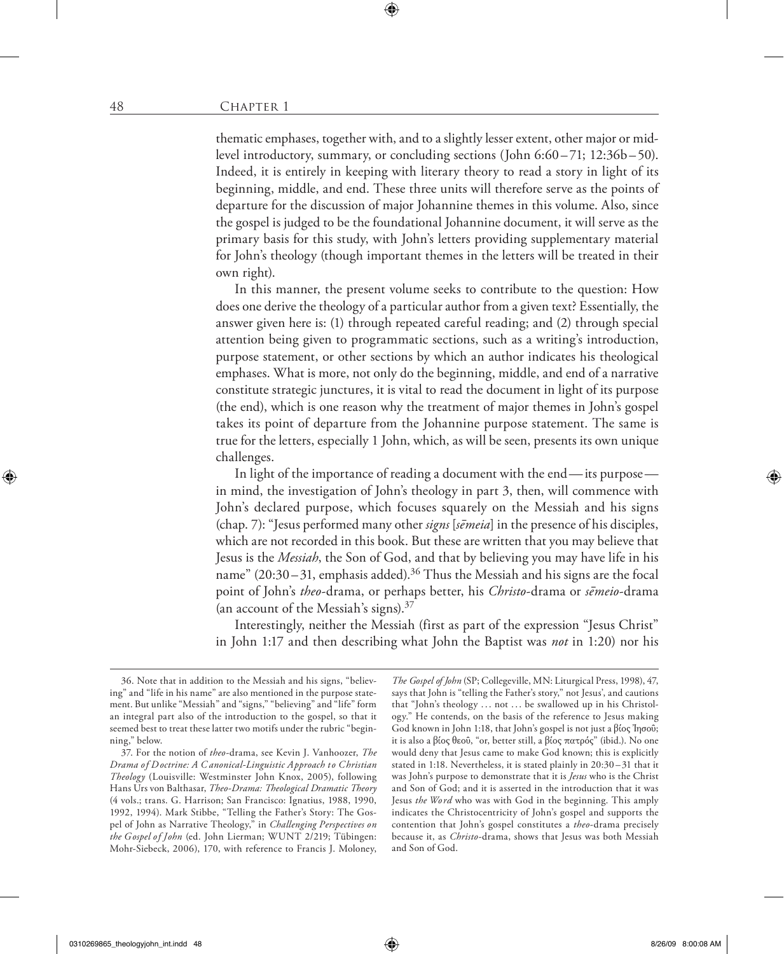thematic emphases, together with, and to a slightly lesser extent, other major or midlevel introductory, summary, or concluding sections (John 6:60 – 71; 12:36b – 50). Indeed, it is entirely in keeping with literary theory to read a story in light of its beginning, middle, and end. These three units will therefore serve as the points of departure for the discussion of major Johannine themes in this volume. Also, since the gospel is judged to be the foundational Johannine document, it will serve as the primary basis for this study, with John's letters providing supplementary material for John's theology (though important themes in the letters will be treated in their own right).

In this manner, the present volume seeks to contribute to the question: How does one derive the theology of a particular author from a given text? Essentially, the answer given here is: (1) through repeated careful reading; and (2) through special attention being given to programmatic sections, such as a writing's introduction, purpose statement, or other sections by which an author indicates his theological emphases. What is more, not only do the beginning, middle, and end of a narrative constitute strategic junctures, it is vital to read the document in light of its purpose (the end), which is one reason why the treatment of major themes in John's gospel takes its point of departure from the Johannine purpose statement. The same is true for the letters, especially 1 John, which, as will be seen, presents its own unique challenges.

In light of the importance of reading a document with the end—its purpose in mind, the investigation of John's theology in part 3, then, will commence with John's declared purpose, which focuses squarely on the Messiah and his signs (chap. 7): "Jesus performed many other *signs* [*sēmeia*] in the presence of his disciples, which are not recorded in this book. But these are written that you may believe that Jesus is the *Messiah*, the Son of God, and that by believing you may have life in his name" (20:30 – 31, emphasis added).<sup>36</sup> Thus the Messiah and his signs are the focal point of John's *theo-*drama, or perhaps better, his *Christo-drama or sēmeio-drama* (an account of the Messiah's signs). $37$ 

Interestingly, neither the Messiah (first as part of the expression "Jesus Christ" in John 1:17 and then describing what John the Baptist was *not* in 1:20) nor his

The Gospel of John (SP; Collegeville, MN: Liturgical Press, 1998), 47, says that John is "telling the Father's story," not Jesus', and cautions that "John's theology . . . not . . . be swallowed up in his Christology." He contends, on the basis of the reference to Jesus making God known in John 1:18, that John's gospel is not just a  $\beta$ ίος Ίησο $\widehat{\mathfrak y};$ it is also a  $\beta$ ίος θεού, "or, better still, a  $\beta$ ίος πατρός" (ibid.). No one would deny that Jesus came to make God known; this is explicitly stated in 1:18. Nevertheless, it is stated plainly in 20:30 – 31 that it was John's purpose to demonstrate that it is *Jesus* who is the Christ and Son of God; and it is asserted in the introduction that it was Jesus *the Word* who was with God in the beginning. This amply indicates the Christocentricity of John's gospel and supports the contention that John's gospel constitutes a *theo-*drama precisely because it, as *Christo-*drama, shows that Jesus was both Messiah and Son of God.

<sup>36.</sup> Note that in addition to the Messiah and his signs, "believing" and "life in his name" are also mentioned in the purpose statement. But unlike "Messiah" and "signs," "believing" and "life" form an integral part also of the introduction to the gospel, so that it seemed best to treat these latter two motifs under the rubric "beginning," below.

<sup>37.</sup> For the notion of *theo*-drama, see Kevin J. Vanhoozer, *The* Drama of Doctrine: A C anonical-Linguistic Approach to Christian *Theology* (Louisville: Westminster John Knox, 2005), following Hans Urs von Balthasar, *Theo-Drama: Theological Dramatic Theory* (4 vols.; trans. G. Harrison; San Francisco: Ignatius, 1988, 1990, 1992, 1994). Mark Stibbe, "Telling the Father's Story: The Gospel of John as Narrative Theology," in *Challenging Perspectives on* the Gospel of John (ed. John Lierman; WUNT 2/219; Tübingen: Mohr-Siebeck, 2006), 170, with reference to Francis J. Moloney,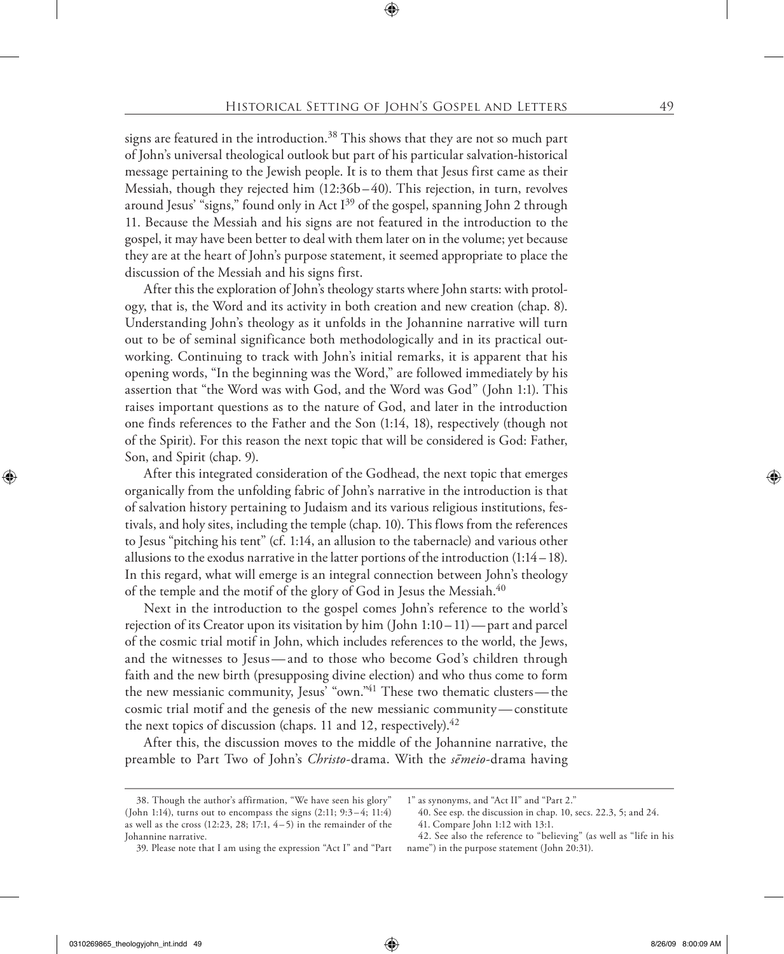signs are featured in the introduction.<sup>38</sup> This shows that they are not so much part of John's universal theological outlook but part of his particular salvation-historical message pertaining to the Jewish people. It is to them that Jesus first came as their Messiah, though they rejected him (12:36b – 40). This rejection, in turn, revolves around Jesus' "signs," found only in Act I<sup>39</sup> of the gospel, spanning John 2 through 11. Because the Messiah and his signs are not featured in the introduction to the gospel, it may have been better to deal with them later on in the volume; yet because they are at the heart of John's purpose statement, it seemed appropriate to place the discussion of the Messiah and his signs first.

After this the exploration of John's theology starts where John starts: with protology, that is, the Word and its activity in both creation and new creation (chap. 8). Understanding John's theology as it unfolds in the Johannine narrative will turn out to be of seminal significance both methodologically and in its practical outworking. Continuing to track with John's initial remarks, it is apparent that his opening words, "In the beginning was the Word," are followed immediately by his assertion that "the Word was with God, and the Word was God" (John 1:1). This raises important questions as to the nature of God, and later in the introduction one finds references to the Father and the Son (1:14, 18), respectively (though not of the Spirit). For this reason the next topic that will be considered is God: Father, Son, and Spirit (chap. 9).

After this integrated consideration of the Godhead, the next topic that emerges organically from the unfolding fabric of John's narrative in the introduction is that of salvation history pertaining to Judaism and its various religious institutions, festivals, and holy sites, including the temple (chap. 10). This flows from the references to Jesus "pitching his tent" (cf. 1:14, an allusion to the tabernacle) and various other allusions to the exodus narrative in the latter portions of the introduction (1:14 – 18). In this regard, what will emerge is an integral connection between John's theology of the temple and the motif of the glory of God in Jesus the Messiah.<sup>40</sup>

Next in the introduction to the gospel comes John's reference to the world's rejection of its Creator upon its visitation by him (John 1:10 – 11) — part and parcel of the cosmic trial motif in John, which includes references to the world, the Jews, and the witnesses to Jesus—and to those who become God's children through faith and the new birth (presupposing divine election) and who thus come to form [the new messianic community, Jesus' "own."41 These two thematic clusters — the](http://bit.ly/1e7LAk)  cosmic trial motif and the genesis of the new messianic community — constitute the next topics of discussion (chaps. 11 and 12, respectively). $42$ 

After this, the discussion moves to the middle of the Johannine narrative, the preamble to Part Two of John's *Christo-*drama. With the *semeio-*drama having

<sup>38.</sup> Though the author's affirmation, "We have seen his glory" (John 1:14), turns out to encompass the signs  $(2:11; 9:3-4; 11:4)$ as well as the cross  $(12:23, 28; 17:1, 4-5)$  in the remainder of the Johannine narrative.

<sup>39.</sup> Please note that I am using the expression "Act I" and "Part

<sup>1&</sup>quot; as synonyms, and "Act II" and "Part 2."

<sup>40.</sup> See esp. the discussion in chap. 10, secs. 22.3, 5; and 24.

<sup>41.</sup> Compare John 1:12 with 13:1.

<sup>42.</sup> See also the reference to "believing" (as well as "life in his name") in the purpose statement (John 20:31).